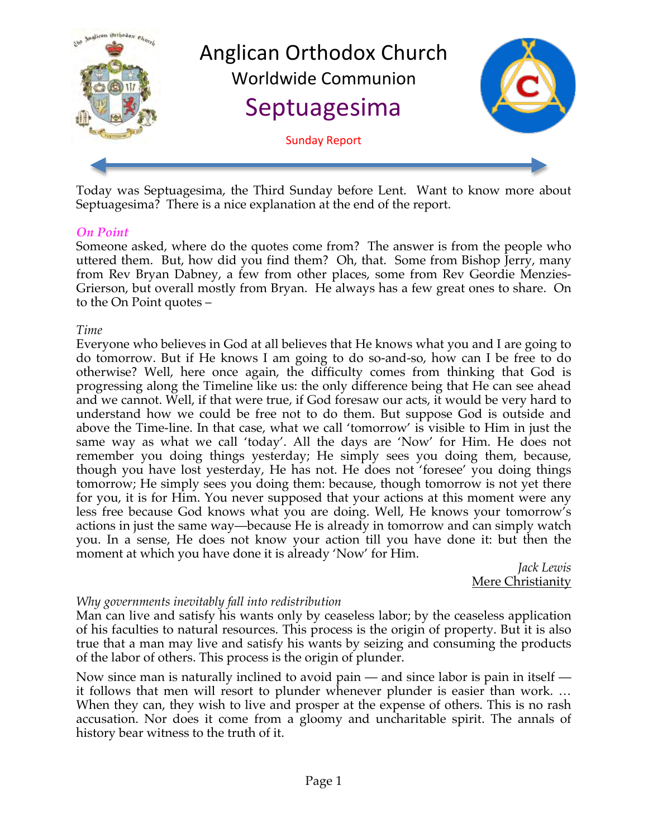

Today was Septuagesima, the Third Sunday before Lent. Want to know more about Septuagesima? There is a nice explanation at the end of the report.

#### *On Point*

Someone asked, where do the quotes come from? The answer is from the people who uttered them. But, how did you find them? Oh, that. Some from Bishop Jerry, many from Rev Bryan Dabney, a few from other places, some from Rev Geordie Menzies-Grierson, but overall mostly from Bryan. He always has a few great ones to share. On to the On Point quotes –

#### *Time*

Everyone who believes in God at all believes that He knows what you and I are going to do tomorrow. But if He knows I am going to do so-and-so, how can I be free to do otherwise? Well, here once again, the difficulty comes from thinking that God is progressing along the Timeline like us: the only difference being that He can see ahead and we cannot. Well, if that were true, if God foresaw our acts, it would be very hard to understand how we could be free not to do them. But suppose God is outside and above the Time-line. In that case, what we call 'tomorrow' is visible to Him in just the same way as what we call 'today'. All the days are 'Now' for Him. He does not remember you doing things yesterday; He simply sees you doing them, because, though you have lost yesterday, He has not. He does not 'foresee' you doing things tomorrow; He simply sees you doing them: because, though tomorrow is not yet there for you, it is for Him. You never supposed that your actions at this moment were any less free because God knows what you are doing. Well, He knows your tomorrow's actions in just the same way—because He is already in tomorrow and can simply watch you. In a sense, He does not know your action till you have done it: but then the moment at which you have done it is already 'Now' for Him.

*Jack Lewis* Mere Christianity

#### *Why governments inevitably fall into redistribution*

Man can live and satisfy his wants only by ceaseless labor; by the ceaseless application of his faculties to natural resources. This process is the origin of property. But it is also true that a man may live and satisfy his wants by seizing and consuming the products of the labor of others. This process is the origin of plunder.

Now since man is naturally inclined to avoid pain — and since labor is pain in itself it follows that men will resort to plunder whenever plunder is easier than work. … When they can, they wish to live and prosper at the expense of others. This is no rash accusation. Nor does it come from a gloomy and uncharitable spirit. The annals of history bear witness to the truth of it.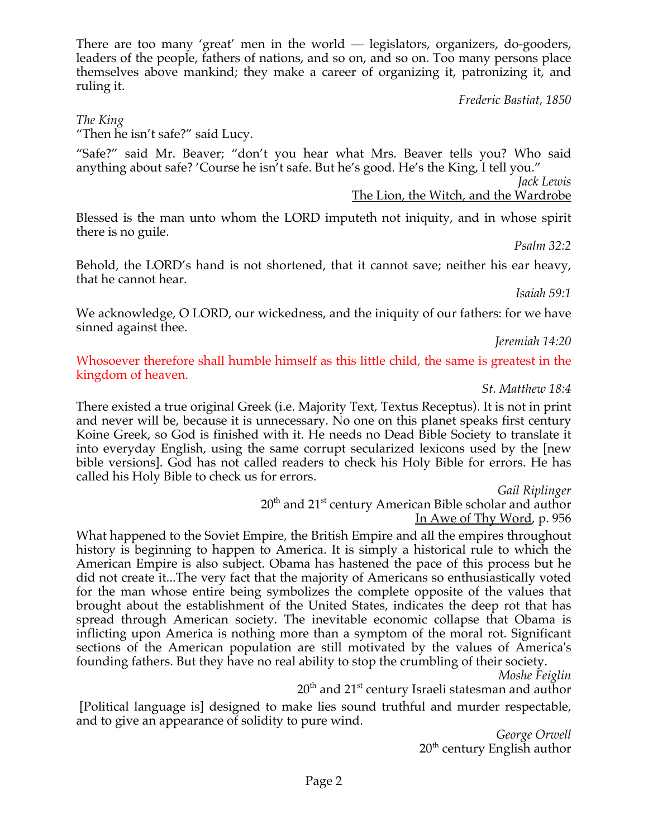There are too many 'great' men in the world — legislators, organizers, do-gooders, leaders of the people, fathers of nations, and so on, and so on. Too many persons place themselves above mankind; they make a career of organizing it, patronizing it, and ruling it.

*Frederic Bastiat, 1850*

#### *The King*

"Then he isn't safe?" said Lucy.

"Safe?" said Mr. Beaver; "don't you hear what Mrs. Beaver tells you? Who said anything about safe? 'Course he isn't safe. But he's good. He's the King, I tell you."

*Jack Lewis*

The Lion, the Witch, and the Wardrobe

Blessed is the man unto whom the LORD imputeth not iniquity, and in whose spirit there is no guile.

*Psalm 32:2*

Behold, the LORD's hand is not shortened, that it cannot save; neither his ear heavy, that he cannot hear.

*Isaiah 59:1*

We acknowledge, O LORD, our wickedness, and the iniquity of our fathers: for we have sinned against thee.

*Jeremiah 14:20*

Whosoever therefore shall humble himself as this little child, the same is greatest in the kingdom of heaven.

#### *St. Matthew 18:4*

There existed a true original Greek (i.e. Majority Text, Textus Receptus). It is not in print and never will be, because it is unnecessary. No one on this planet speaks first century Koine Greek, so God is finished with it. He needs no Dead Bible Society to translate it into everyday English, using the same corrupt secularized lexicons used by the [new bible versions]. God has not called readers to check his Holy Bible for errors. He has called his Holy Bible to check us for errors.

*Gail Riplinger*

20<sup>th</sup> and 21<sup>st</sup> century American Bible scholar and author In Awe of Thy Word, p. 956

What happened to the Soviet Empire, the British Empire and all the empires throughout history is beginning to happen to America. It is simply a historical rule to which the American Empire is also subject. Obama has hastened the pace of this process but he did not create it...The very fact that the majority of Americans so enthusiastically voted for the man whose entire being symbolizes the complete opposite of the values that brought about the establishment of the United States, indicates the deep rot that has spread through American society. The inevitable economic collapse that Obama is inflicting upon America is nothing more than a symptom of the moral rot. Significant sections of the American population are still motivated by the values of America's founding fathers. But they have no real ability to stop the crumbling of their society.

*Moshe Feiglin*

 $20^{\text{th}}$  and  $21^{\text{st}}$  century Israeli statesman and author

 [Political language is] designed to make lies sound truthful and murder respectable, and to give an appearance of solidity to pure wind.

*George Orwell*  $20<sup>th</sup>$  century English author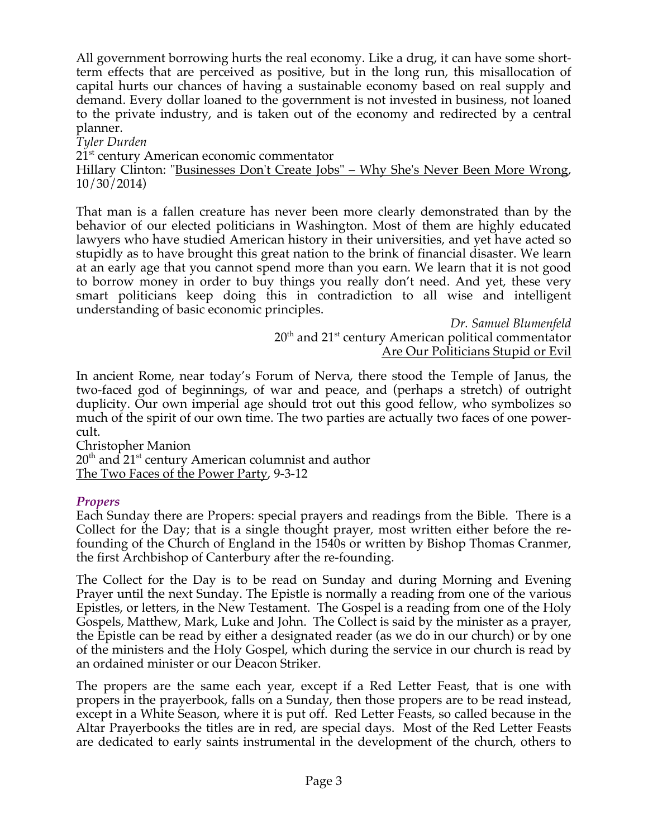All government borrowing hurts the real economy. Like a drug, it can have some shortterm effects that are perceived as positive, but in the long run, this misallocation of capital hurts our chances of having a sustainable economy based on real supply and demand. Every dollar loaned to the government is not invested in business, not loaned to the private industry, and is taken out of the economy and redirected by a central planner.

*Tyler Durden*

21<sup>st</sup> century American economic commentator

Hillary Clinton: "Businesses Don't Create Jobs" – Why She's Never Been More Wrong, 10/30/2014)

That man is a fallen creature has never been more clearly demonstrated than by the behavior of our elected politicians in Washington. Most of them are highly educated lawyers who have studied American history in their universities, and yet have acted so stupidly as to have brought this great nation to the brink of financial disaster. We learn at an early age that you cannot spend more than you earn. We learn that it is not good to borrow money in order to buy things you really don't need. And yet, these very smart politicians keep doing this in contradiction to all wise and intelligent understanding of basic economic principles.

*Dr. Samuel Blumenfeld* 20<sup>th</sup> and 21<sup>st</sup> century American political commentator Are Our Politicians Stupid or Evil

In ancient Rome, near today's Forum of Nerva, there stood the Temple of Janus, the two-faced god of beginnings, of war and peace, and (perhaps a stretch) of outright duplicity. Our own imperial age should trot out this good fellow, who symbolizes so much of the spirit of our own time. The two parties are actually two faces of one powercult.

Christopher Manion  $20<sup>th</sup>$  and  $21<sup>st</sup>$  century American columnist and author The Two Faces of the Power Party, 9-3-12

#### *Propers*

Each Sunday there are Propers: special prayers and readings from the Bible. There is a Collect for the Day; that is a single thought prayer, most written either before the refounding of the Church of England in the 1540s or written by Bishop Thomas Cranmer, the first Archbishop of Canterbury after the re-founding.

The Collect for the Day is to be read on Sunday and during Morning and Evening Prayer until the next Sunday. The Epistle is normally a reading from one of the various Epistles, or letters, in the New Testament. The Gospel is a reading from one of the Holy Gospels, Matthew, Mark, Luke and John. The Collect is said by the minister as a prayer, the Epistle can be read by either a designated reader (as we do in our church) or by one of the ministers and the Holy Gospel, which during the service in our church is read by an ordained minister or our Deacon Striker.

The propers are the same each year, except if a Red Letter Feast, that is one with propers in the prayerbook, falls on a Sunday, then those propers are to be read instead, except in a White Season, where it is put off. Red Letter Feasts, so called because in the Altar Prayerbooks the titles are in red, are special days. Most of the Red Letter Feasts are dedicated to early saints instrumental in the development of the church, others to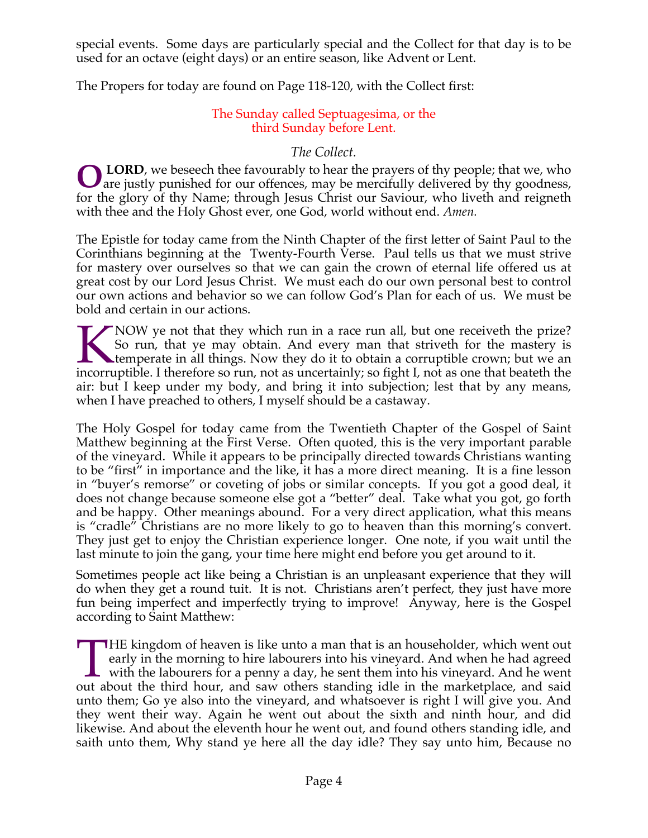special events. Some days are particularly special and the Collect for that day is to be used for an octave (eight days) or an entire season, like Advent or Lent.

The Propers for today are found on Page 118-120, with the Collect first:

# The Sunday called Septuagesima, or the third Sunday before Lent.

# *The Collect.*

**LORD**, we beseech thee favourably to hear the prayers of thy people; that we, who **OLORD**, we beseech thee favourably to hear the prayers of thy people; that we, who are justly punished for our offences, may be mercifully delivered by thy goodness, for the glory of thy Name; through Jesus Christ our Saviour, who liveth and reigneth with thee and the Holy Ghost ever, one God, world without end. *Amen.*

The Epistle for today came from the Ninth Chapter of the first letter of Saint Paul to the Corinthians beginning at the Twenty-Fourth Verse. Paul tells us that we must strive for mastery over ourselves so that we can gain the crown of eternal life offered us at great cost by our Lord Jesus Christ. We must each do our own personal best to control our own actions and behavior so we can follow God's Plan for each of us. We must be bold and certain in our actions.

NOW ye not that they which run in a race run all, but one receiveth the prize? So run, that ye may obtain. And every man that striveth for the mastery is temperate in all things. Now they do it to obtain a corruptible crown; but we an incorruptible. I therefore so run, not as uncertainly; so fight I, not as one that beateth the air: but I keep under my body, and bring it into subjection; lest that by any means, when I have preached to others, I myself should be a castaway. K<br>incorru

The Holy Gospel for today came from the Twentieth Chapter of the Gospel of Saint Matthew beginning at the First Verse. Often quoted, this is the very important parable of the vineyard. While it appears to be principally directed towards Christians wanting to be "first" in importance and the like, it has a more direct meaning. It is a fine lesson in "buyer's remorse" or coveting of jobs or similar concepts. If you got a good deal, it does not change because someone else got a "better" deal. Take what you got, go forth and be happy. Other meanings abound. For a very direct application, what this means is "cradle" Christians are no more likely to go to heaven than this morning's convert. They just get to enjoy the Christian experience longer. One note, if you wait until the last minute to join the gang, your time here might end before you get around to it.

Sometimes people act like being a Christian is an unpleasant experience that they will do when they get a round tuit. It is not. Christians aren't perfect, they just have more fun being imperfect and imperfectly trying to improve! Anyway, here is the Gospel according to Saint Matthew:

**THE** kingdom of heaven is like unto a man that is an householder, which went out early in the morning to hire labourers into his vineyard. And when he had agreed with the labourers for a penny a day, he sent them into his vineyard. And he went THE kingdom of heaven is like unto a man that is an householder, which went out early in the morning to hire labourers into his vineyard. And when he had agreed with the labourers for a penny a day, he sent them into his v unto them; Go ye also into the vineyard, and whatsoever is right I will give you. And they went their way. Again he went out about the sixth and ninth hour, and did likewise. And about the eleventh hour he went out, and found others standing idle, and saith unto them, Why stand ye here all the day idle? They say unto him, Because no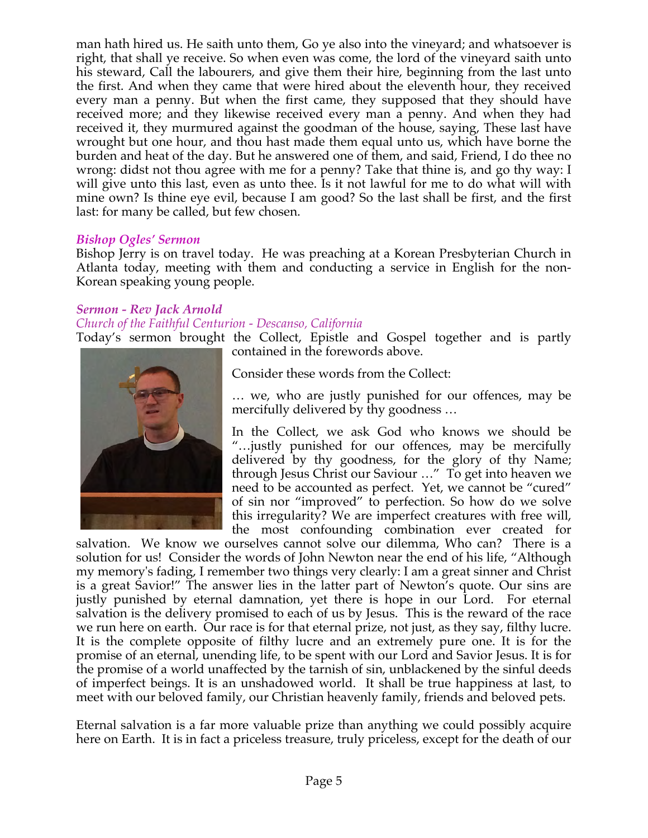man hath hired us. He saith unto them, Go ye also into the vineyard; and whatsoever is right, that shall ye receive. So when even was come, the lord of the vineyard saith unto his steward, Call the labourers, and give them their hire, beginning from the last unto the first. And when they came that were hired about the eleventh hour, they received every man a penny. But when the first came, they supposed that they should have received more; and they likewise received every man a penny. And when they had received it, they murmured against the goodman of the house, saying, These last have wrought but one hour, and thou hast made them equal unto us, which have borne the burden and heat of the day. But he answered one of them, and said, Friend, I do thee no wrong: didst not thou agree with me for a penny? Take that thine is, and go thy way: I will give unto this last, even as unto thee. Is it not lawful for me to do what will with mine own? Is thine eye evil, because I am good? So the last shall be first, and the first last: for many be called, but few chosen.

#### *Bishop Ogles' Sermon*

Bishop Jerry is on travel today. He was preaching at a Korean Presbyterian Church in Atlanta today, meeting with them and conducting a service in English for the non-Korean speaking young people.

#### *Sermon - Rev Jack Arnold*

#### *Church of the Faithful Centurion - Descanso, California*

Today's sermon brought the Collect, Epistle and Gospel together and is partly contained in the forewords above.



Consider these words from the Collect:

… we, who are justly punished for our offences, may be mercifully delivered by thy goodness …

In the Collect, we ask God who knows we should be "…justly punished for our offences, may be mercifully delivered by thy goodness, for the glory of thy Name; through Jesus Christ our Saviour …" To get into heaven we need to be accounted as perfect. Yet, we cannot be "cured" of sin nor "improved" to perfection. So how do we solve this irregularity? We are imperfect creatures with free will, the most confounding combination ever created for

salvation. We know we ourselves cannot solve our dilemma, Who can? There is a solution for us! Consider the words of John Newton near the end of his life, "Although my memory's fading, I remember two things very clearly: I am a great sinner and Christ is a great Savior!" The answer lies in the latter part of Newton's quote. Our sins are justly punished by eternal damnation, yet there is hope in our Lord. For eternal salvation is the delivery promised to each of us by Jesus. This is the reward of the race we run here on earth. Our race is for that eternal prize, not just, as they say, filthy lucre. It is the complete opposite of filthy lucre and an extremely pure one. It is for the promise of an eternal, unending life, to be spent with our Lord and Savior Jesus. It is for the promise of a world unaffected by the tarnish of sin, unblackened by the sinful deeds of imperfect beings. It is an unshadowed world. It shall be true happiness at last, to meet with our beloved family, our Christian heavenly family, friends and beloved pets.

Eternal salvation is a far more valuable prize than anything we could possibly acquire here on Earth. It is in fact a priceless treasure, truly priceless, except for the death of our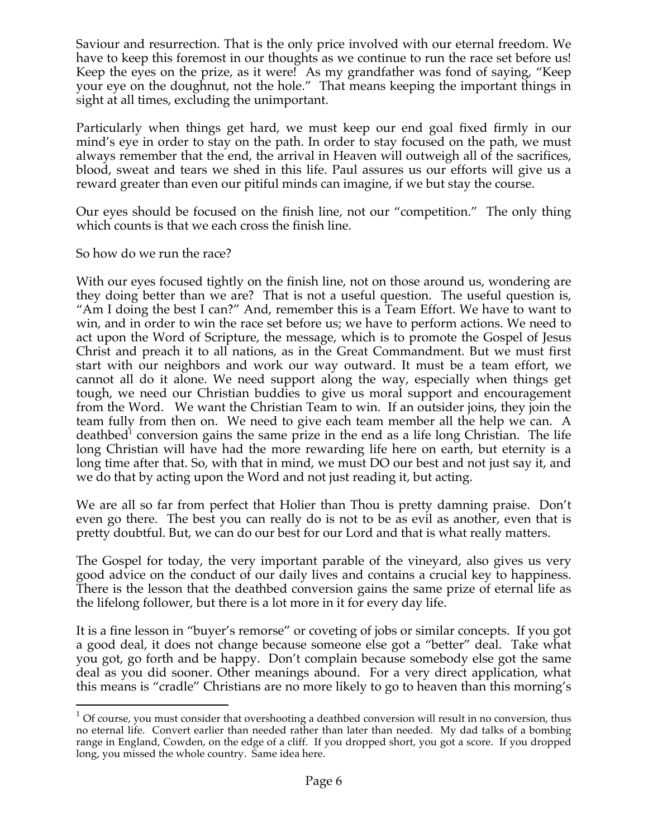Saviour and resurrection. That is the only price involved with our eternal freedom. We have to keep this foremost in our thoughts as we continue to run the race set before us! Keep the eyes on the prize, as it were! As my grandfather was fond of saying, "Keep your eye on the doughnut, not the hole." That means keeping the important things in sight at all times, excluding the unimportant.

Particularly when things get hard, we must keep our end goal fixed firmly in our mind's eye in order to stay on the path. In order to stay focused on the path, we must always remember that the end, the arrival in Heaven will outweigh all of the sacrifices, blood, sweat and tears we shed in this life. Paul assures us our efforts will give us a reward greater than even our pitiful minds can imagine, if we but stay the course.

Our eyes should be focused on the finish line, not our "competition." The only thing which counts is that we each cross the finish line.

So how do we run the race?

With our eyes focused tightly on the finish line, not on those around us, wondering are they doing better than we are? That is not a useful question. The useful question is, "Am I doing the best I can?" And, remember this is a Team Effort. We have to want to win, and in order to win the race set before us; we have to perform actions. We need to act upon the Word of Scripture, the message, which is to promote the Gospel of Jesus Christ and preach it to all nations, as in the Great Commandment. But we must first start with our neighbors and work our way outward. It must be a team effort, we cannot all do it alone. We need support along the way, especially when things get tough, we need our Christian buddies to give us moral support and encouragement from the Word. We want the Christian Team to win. If an outsider joins, they join the team fully from then on. We need to give each team member all the help we can. A deathbed<sup>1</sup> conversion gains the same prize in the end as a life long Christian. The life long Christian will have had the more rewarding life here on earth, but eternity is a long time after that. So, with that in mind, we must DO our best and not just say it, and we do that by acting upon the Word and not just reading it, but acting.

We are all so far from perfect that Holier than Thou is pretty damning praise. Don't even go there. The best you can really do is not to be as evil as another, even that is pretty doubtful. But, we can do our best for our Lord and that is what really matters.

The Gospel for today, the very important parable of the vineyard, also gives us very good advice on the conduct of our daily lives and contains a crucial key to happiness. There is the lesson that the deathbed conversion gains the same prize of eternal life as the lifelong follower, but there is a lot more in it for every day life.

It is a fine lesson in "buyer's remorse" or coveting of jobs or similar concepts. If you got a good deal, it does not change because someone else got a "better" deal. Take what you got, go forth and be happy. Don't complain because somebody else got the same deal as you did sooner. Other meanings abound. For a very direct application, what this means is "cradle" Christians are no more likely to go to heaven than this morning's

 $1$  Of course, you must consider that overshooting a deathbed conversion will result in no conversion, thus no eternal life. Convert earlier than needed rather than later than needed. My dad talks of a bombing range in England, Cowden, on the edge of a cliff. If you dropped short, you got a score. If you dropped long, you missed the whole country. Same idea here.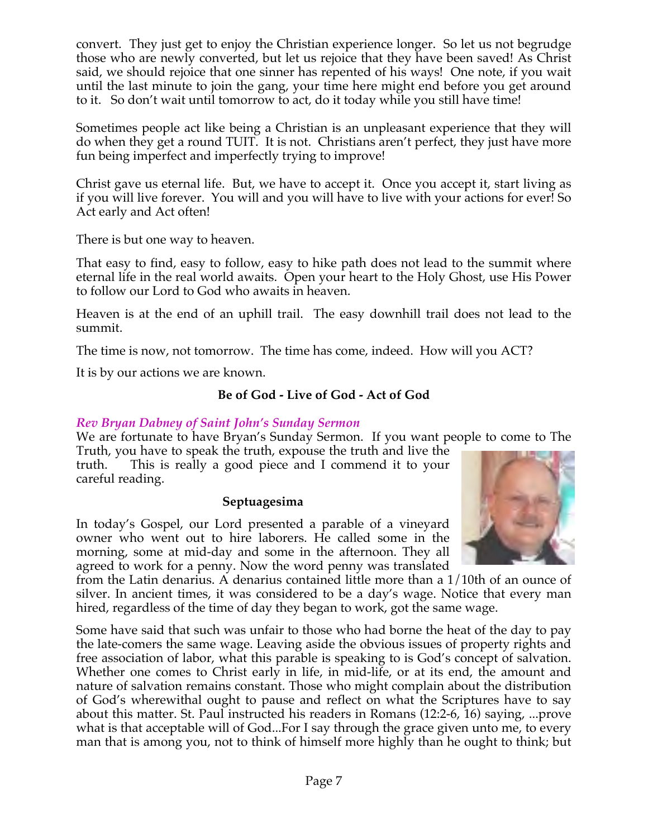convert. They just get to enjoy the Christian experience longer. So let us not begrudge those who are newly converted, but let us rejoice that they have been saved! As Christ said, we should rejoice that one sinner has repented of his ways! One note, if you wait until the last minute to join the gang, your time here might end before you get around to it. So don't wait until tomorrow to act, do it today while you still have time!

Sometimes people act like being a Christian is an unpleasant experience that they will do when they get a round TUIT. It is not. Christians aren't perfect, they just have more fun being imperfect and imperfectly trying to improve!

Christ gave us eternal life. But, we have to accept it. Once you accept it, start living as if you will live forever. You will and you will have to live with your actions for ever! So Act early and Act often!

There is but one way to heaven.

That easy to find, easy to follow, easy to hike path does not lead to the summit where eternal life in the real world awaits. Open your heart to the Holy Ghost, use His Power to follow our Lord to God who awaits in heaven.

Heaven is at the end of an uphill trail. The easy downhill trail does not lead to the summit.

The time is now, not tomorrow. The time has come, indeed. How will you ACT?

It is by our actions we are known.

# **Be of God - Live of God - Act of God**

# *Rev Bryan Dabney of Saint John's Sunday Sermon*

We are fortunate to have Bryan's Sunday Sermon. If you want people to come to The Truth, you have to speak the truth, expouse the truth and live the

truth. This is really a good piece and I commend it to your careful reading.

#### **Septuagesima**

In today's Gospel, our Lord presented a parable of a vineyard owner who went out to hire laborers. He called some in the morning, some at mid-day and some in the afternoon. They all agreed to work for a penny. Now the word penny was translated



from the Latin denarius. A denarius contained little more than a 1/10th of an ounce of silver. In ancient times, it was considered to be a day's wage. Notice that every man hired, regardless of the time of day they began to work, got the same wage.

Some have said that such was unfair to those who had borne the heat of the day to pay the late-comers the same wage. Leaving aside the obvious issues of property rights and free association of labor, what this parable is speaking to is God's concept of salvation. Whether one comes to Christ early in life, in mid-life, or at its end, the amount and nature of salvation remains constant. Those who might complain about the distribution of God's wherewithal ought to pause and reflect on what the Scriptures have to say about this matter. St. Paul instructed his readers in Romans (12:2-6, 16) saying, ...prove what is that acceptable will of God...For I say through the grace given unto me, to every man that is among you, not to think of himself more highly than he ought to think; but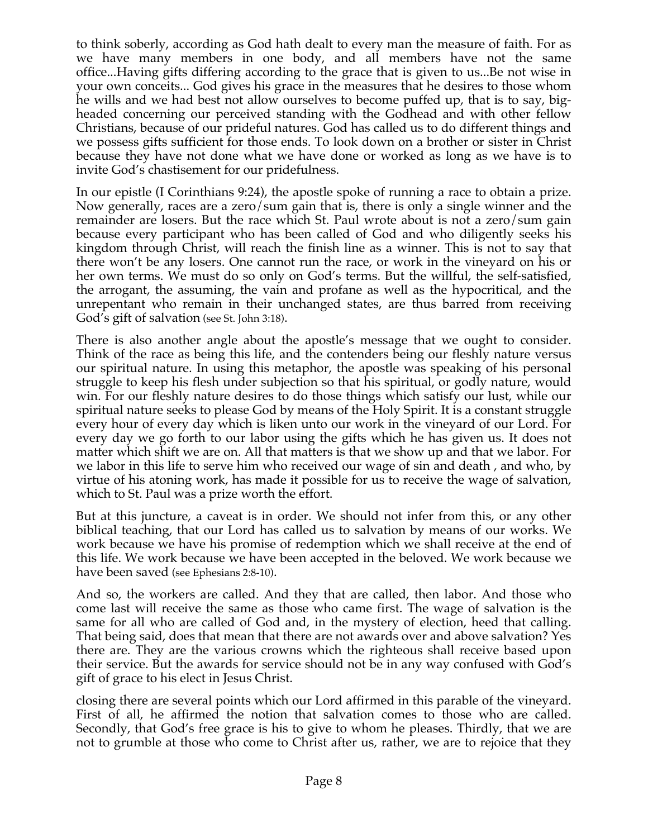to think soberly, according as God hath dealt to every man the measure of faith. For as we have many members in one body, and all members have not the same office...Having gifts differing according to the grace that is given to us...Be not wise in your own conceits... God gives his grace in the measures that he desires to those whom he wills and we had best not allow ourselves to become puffed up, that is to say, bigheaded concerning our perceived standing with the Godhead and with other fellow Christians, because of our prideful natures. God has called us to do different things and we possess gifts sufficient for those ends. To look down on a brother or sister in Christ because they have not done what we have done or worked as long as we have is to invite God's chastisement for our pridefulness.

In our epistle (I Corinthians 9:24), the apostle spoke of running a race to obtain a prize. Now generally, races are a zero/sum gain that is, there is only a single winner and the remainder are losers. But the race which St. Paul wrote about is not a zero/sum gain because every participant who has been called of God and who diligently seeks his kingdom through Christ, will reach the finish line as a winner. This is not to say that there won't be any losers. One cannot run the race, or work in the vineyard on his or her own terms. We must do so only on God's terms. But the willful, the self-satisfied, the arrogant, the assuming, the vain and profane as well as the hypocritical, and the unrepentant who remain in their unchanged states, are thus barred from receiving God's gift of salvation (see St. John 3:18).

There is also another angle about the apostle's message that we ought to consider. Think of the race as being this life, and the contenders being our fleshly nature versus our spiritual nature. In using this metaphor, the apostle was speaking of his personal struggle to keep his flesh under subjection so that his spiritual, or godly nature, would win. For our fleshly nature desires to do those things which satisfy our lust, while our spiritual nature seeks to please God by means of the Holy Spirit. It is a constant struggle every hour of every day which is liken unto our work in the vineyard of our Lord. For every day we go forth to our labor using the gifts which he has given us. It does not matter which shift we are on. All that matters is that we show up and that we labor. For we labor in this life to serve him who received our wage of sin and death , and who, by virtue of his atoning work, has made it possible for us to receive the wage of salvation, which to St. Paul was a prize worth the effort.

But at this juncture, a caveat is in order. We should not infer from this, or any other biblical teaching, that our Lord has called us to salvation by means of our works. We work because we have his promise of redemption which we shall receive at the end of this life. We work because we have been accepted in the beloved. We work because we have been saved (see Ephesians 2:8-10).

And so, the workers are called. And they that are called, then labor. And those who come last will receive the same as those who came first. The wage of salvation is the same for all who are called of God and, in the mystery of election, heed that calling. That being said, does that mean that there are not awards over and above salvation? Yes there are. They are the various crowns which the righteous shall receive based upon their service. But the awards for service should not be in any way confused with God's gift of grace to his elect in Jesus Christ.

closing there are several points which our Lord affirmed in this parable of the vineyard. First of all, he affirmed the notion that salvation comes to those who are called. Secondly, that God's free grace is his to give to whom he pleases. Thirdly, that we are not to grumble at those who come to Christ after us, rather, we are to rejoice that they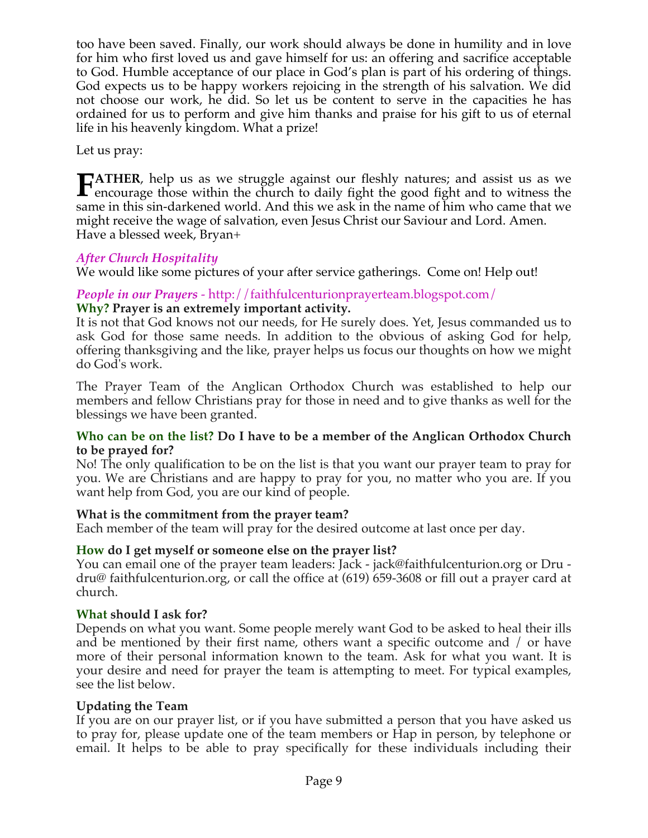too have been saved. Finally, our work should always be done in humility and in love for him who first loved us and gave himself for us: an offering and sacrifice acceptable to God. Humble acceptance of our place in God's plan is part of his ordering of things. God expects us to be happy workers rejoicing in the strength of his salvation. We did not choose our work, he did. So let us be content to serve in the capacities he has ordained for us to perform and give him thanks and praise for his gift to us of eternal life in his heavenly kingdom. What a prize!

Let us pray:

**TATHER**, help us as we struggle against our fleshly natures; and assist us as we **FATHER**, help us as we struggle against our fleshly natures; and assist us as we encourage those within the church to daily fight the good fight and to witness the same in this sin-darkened world. And this we ask in the name of him who came that we might receive the wage of salvation, even Jesus Christ our Saviour and Lord. Amen. Have a blessed week, Bryan+

# *After Church Hospitality*

We would like some pictures of your after service gatherings. Come on! Help out!

# *People in our Prayers* - http://faithfulcenturionprayerteam.blogspot.com/ **Why? Prayer is an extremely important activity.**

It is not that God knows not our needs, for He surely does. Yet, Jesus commanded us to ask God for those same needs. In addition to the obvious of asking God for help, offering thanksgiving and the like, prayer helps us focus our thoughts on how we might do God's work.

The Prayer Team of the Anglican Orthodox Church was established to help our members and fellow Christians pray for those in need and to give thanks as well for the blessings we have been granted.

#### **Who can be on the list? Do I have to be a member of the Anglican Orthodox Church to be prayed for?**

No! The only qualification to be on the list is that you want our prayer team to pray for you. We are Christians and are happy to pray for you, no matter who you are. If you want help from God, you are our kind of people.

# **What is the commitment from the prayer team?**

Each member of the team will pray for the desired outcome at last once per day.

# **How do I get myself or someone else on the prayer list?**

You can email one of the prayer team leaders: Jack - jack@faithfulcenturion.org or Dru dru@ faithfulcenturion.org, or call the office at (619) 659-3608 or fill out a prayer card at church.

# **What should I ask for?**

Depends on what you want. Some people merely want God to be asked to heal their ills and be mentioned by their first name, others want a specific outcome and / or have more of their personal information known to the team. Ask for what you want. It is your desire and need for prayer the team is attempting to meet. For typical examples, see the list below.

# **Updating the Team**

If you are on our prayer list, or if you have submitted a person that you have asked us to pray for, please update one of the team members or Hap in person, by telephone or email. It helps to be able to pray specifically for these individuals including their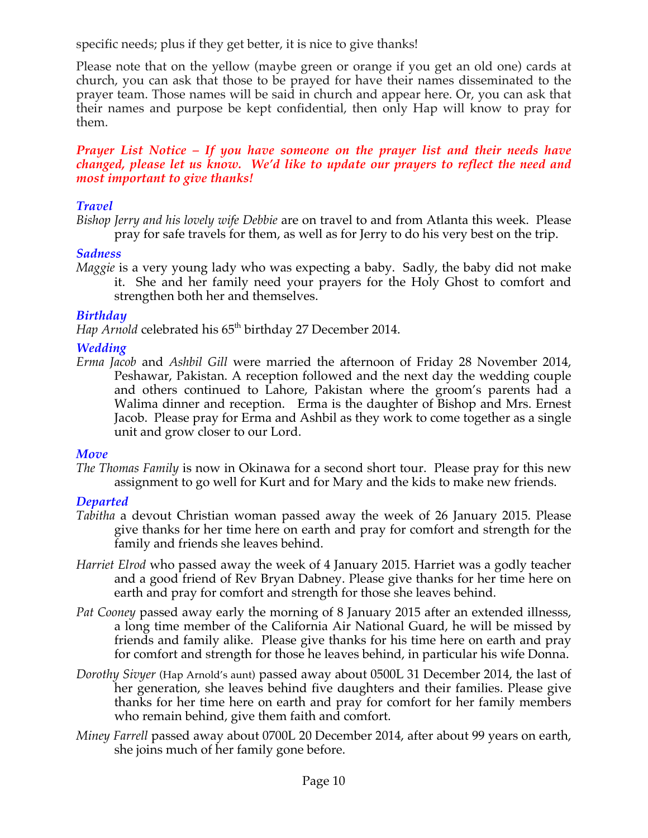specific needs; plus if they get better, it is nice to give thanks!

Please note that on the yellow (maybe green or orange if you get an old one) cards at church, you can ask that those to be prayed for have their names disseminated to the prayer team. Those names will be said in church and appear here. Or, you can ask that their names and purpose be kept confidential, then only Hap will know to pray for them.

*Prayer List Notice – If you have someone on the prayer list and their needs have changed, please let us know. We'd like to update our prayers to reflect the need and most important to give thanks!*

# *Travel*

*Bishop Jerry and his lovely wife Debbie* are on travel to and from Atlanta this week. Please pray for safe travels for them, as well as for Jerry to do his very best on the trip.

#### *Sadness*

*Maggie* is a very young lady who was expecting a baby. Sadly, the baby did not make it. She and her family need your prayers for the Holy Ghost to comfort and strengthen both her and themselves.

#### *Birthday*

*Hap Arnold* celebrated his 65<sup>th</sup> birthday 27 December 2014.

#### *Wedding*

*Erma Jacob* and *Ashbil Gill* were married the afternoon of Friday 28 November 2014, Peshawar, Pakistan. A reception followed and the next day the wedding couple and others continued to Lahore, Pakistan where the groom's parents had a Walima dinner and reception. Erma is the daughter of Bishop and Mrs. Ernest Jacob. Please pray for Erma and Ashbil as they work to come together as a single unit and grow closer to our Lord.

# *Move*

*The Thomas Family* is now in Okinawa for a second short tour. Please pray for this new assignment to go well for Kurt and for Mary and the kids to make new friends.

# *Departed*

- *Tabitha* a devout Christian woman passed away the week of 26 January 2015. Please give thanks for her time here on earth and pray for comfort and strength for the family and friends she leaves behind.
- *Harriet Elrod* who passed away the week of 4 January 2015. Harriet was a godly teacher and a good friend of Rev Bryan Dabney. Please give thanks for her time here on earth and pray for comfort and strength for those she leaves behind.
- *Pat Cooney* passed away early the morning of 8 January 2015 after an extended illnesss, a long time member of the California Air National Guard, he will be missed by friends and family alike. Please give thanks for his time here on earth and pray for comfort and strength for those he leaves behind, in particular his wife Donna.
- *Dorothy Sivyer* (Hap Arnold's aunt) passed away about 0500L 31 December 2014, the last of her generation, she leaves behind five daughters and their families. Please give thanks for her time here on earth and pray for comfort for her family members who remain behind, give them faith and comfort.
- *Miney Farrell* passed away about 0700L 20 December 2014, after about 99 years on earth, she joins much of her family gone before.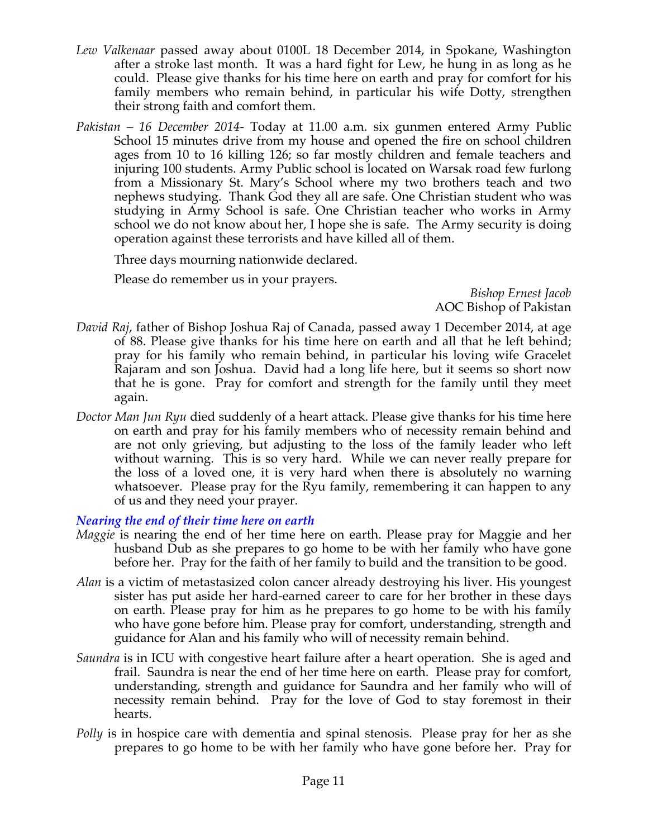- *Lew Valkenaar* passed away about 0100L 18 December 2014, in Spokane, Washington after a stroke last month. It was a hard fight for Lew, he hung in as long as he could. Please give thanks for his time here on earth and pray for comfort for his family members who remain behind, in particular his wife Dotty, strengthen their strong faith and comfort them.
- *Pakistan 16 December 2014-* Today at 11.00 a.m. six gunmen entered Army Public School 15 minutes drive from my house and opened the fire on school children ages from 10 to 16 killing 126; so far mostly children and female teachers and injuring 100 students. Army Public school is located on Warsak road few furlong from a Missionary St. Mary's School where my two brothers teach and two nephews studying. Thank God they all are safe. One Christian student who was studying in Army School is safe. One Christian teacher who works in Army school we do not know about her, I hope she is safe. The Army security is doing operation against these terrorists and have killed all of them.

Three days mourning nationwide declared.

Please do remember us in your prayers.

*Bishop Ernest Jacob* AOC Bishop of Pakistan

- *David Raj*, father of Bishop Joshua Raj of Canada, passed away 1 December 2014, at age of 88. Please give thanks for his time here on earth and all that he left behind; pray for his family who remain behind, in particular his loving wife Gracelet Rajaram and son Joshua. David had a long life here, but it seems so short now that he is gone. Pray for comfort and strength for the family until they meet again.
- *Doctor Man Jun Ryu* died suddenly of a heart attack. Please give thanks for his time here on earth and pray for his family members who of necessity remain behind and are not only grieving, but adjusting to the loss of the family leader who left without warning. This is so very hard. While we can never really prepare for the loss of a loved one, it is very hard when there is absolutely no warning whatsoever. Please pray for the Ryu family, remembering it can happen to any of us and they need your prayer.

# *Nearing the end of their time here on earth*

- *Maggie* is nearing the end of her time here on earth. Please pray for Maggie and her husband Dub as she prepares to go home to be with her family who have gone before her. Pray for the faith of her family to build and the transition to be good.
- *Alan* is a victim of metastasized colon cancer already destroying his liver. His youngest sister has put aside her hard-earned career to care for her brother in these days on earth. Please pray for him as he prepares to go home to be with his family who have gone before him. Please pray for comfort, understanding, strength and guidance for Alan and his family who will of necessity remain behind.
- *Saundra* is in ICU with congestive heart failure after a heart operation. She is aged and frail. Saundra is near the end of her time here on earth. Please pray for comfort, understanding, strength and guidance for Saundra and her family who will of necessity remain behind. Pray for the love of God to stay foremost in their hearts.
- *Polly* is in hospice care with dementia and spinal stenosis. Please pray for her as she prepares to go home to be with her family who have gone before her. Pray for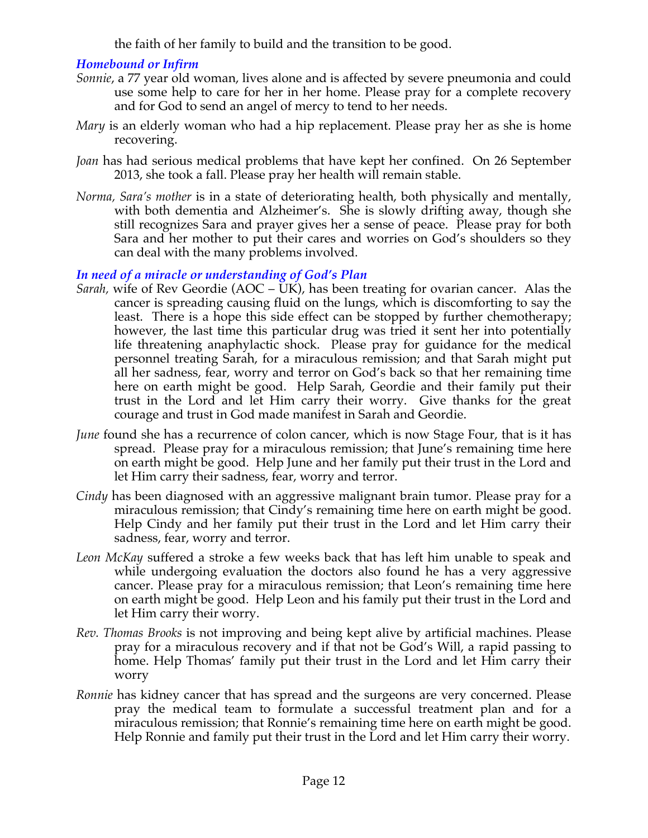the faith of her family to build and the transition to be good.

# *Homebound or Infirm*

- *Sonnie*, a 77 year old woman, lives alone and is affected by severe pneumonia and could use some help to care for her in her home. Please pray for a complete recovery and for God to send an angel of mercy to tend to her needs.
- *Mary* is an elderly woman who had a hip replacement. Please pray her as she is home recovering.
- *Joan* has had serious medical problems that have kept her confined. On 26 September 2013, she took a fall. Please pray her health will remain stable.
- *Norma, Sara's mother* is in a state of deteriorating health, both physically and mentally, with both dementia and Alzheimer's. She is slowly drifting away, though she still recognizes Sara and prayer gives her a sense of peace. Please pray for both Sara and her mother to put their cares and worries on God's shoulders so they can deal with the many problems involved.

# *In need of a miracle or understanding of God's Plan*

- *Sarah,* wife of Rev Geordie (AOC UK), has been treating for ovarian cancer. Alas the cancer is spreading causing fluid on the lungs, which is discomforting to say the least. There is a hope this side effect can be stopped by further chemotherapy; however, the last time this particular drug was tried it sent her into potentially life threatening anaphylactic shock. Please pray for guidance for the medical personnel treating Sarah, for a miraculous remission; and that Sarah might put all her sadness, fear, worry and terror on God's back so that her remaining time here on earth might be good. Help Sarah, Geordie and their family put their trust in the Lord and let Him carry their worry. Give thanks for the great courage and trust in God made manifest in Sarah and Geordie.
- *June* found she has a recurrence of colon cancer, which is now Stage Four, that is it has spread. Please pray for a miraculous remission; that June's remaining time here on earth might be good. Help June and her family put their trust in the Lord and let Him carry their sadness, fear, worry and terror.
- *Cindy* has been diagnosed with an aggressive malignant brain tumor. Please pray for a miraculous remission; that Cindy's remaining time here on earth might be good. Help Cindy and her family put their trust in the Lord and let Him carry their sadness, fear, worry and terror.
- *Leon McKay* suffered a stroke a few weeks back that has left him unable to speak and while undergoing evaluation the doctors also found he has a very aggressive cancer. Please pray for a miraculous remission; that Leon's remaining time here on earth might be good. Help Leon and his family put their trust in the Lord and let Him carry their worry.
- *Rev. Thomas Brooks* is not improving and being kept alive by artificial machines. Please pray for a miraculous recovery and if that not be God's Will, a rapid passing to home. Help Thomas' family put their trust in the Lord and let Him carry their worry
- *Ronnie* has kidney cancer that has spread and the surgeons are very concerned. Please pray the medical team to formulate a successful treatment plan and for a miraculous remission; that Ronnie's remaining time here on earth might be good. Help Ronnie and family put their trust in the Lord and let Him carry their worry.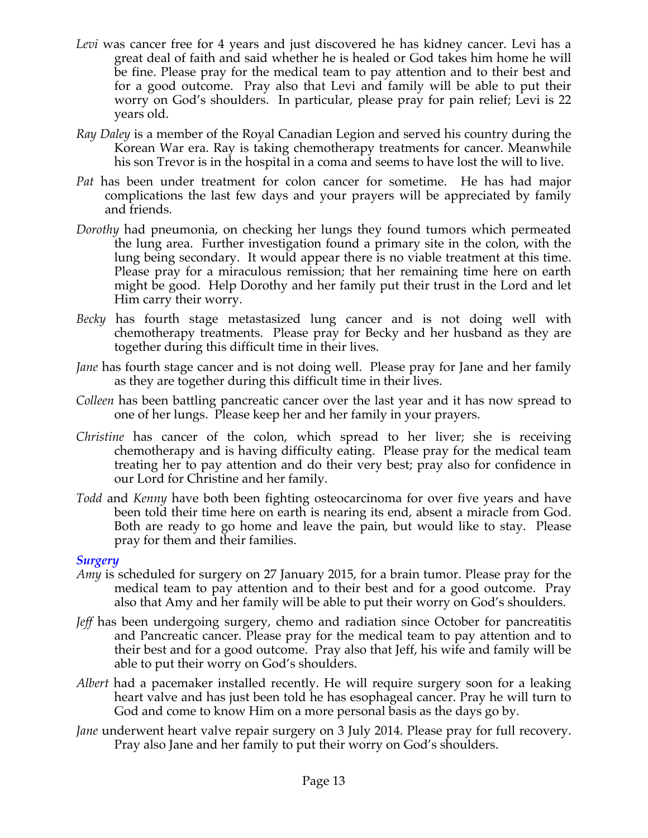- *Levi* was cancer free for 4 years and just discovered he has kidney cancer. Levi has a great deal of faith and said whether he is healed or God takes him home he will be fine. Please pray for the medical team to pay attention and to their best and for a good outcome. Pray also that Levi and family will be able to put their worry on God's shoulders. In particular, please pray for pain relief; Levi is 22 years old.
- *Ray Daley* is a member of the Royal Canadian Legion and served his country during the Korean War era. Ray is taking chemotherapy treatments for cancer. Meanwhile his son Trevor is in the hospital in a coma and seems to have lost the will to live.
- *Pat* has been under treatment for colon cancer for sometime. He has had major complications the last few days and your prayers will be appreciated by family and friends.
- *Dorothy* had pneumonia, on checking her lungs they found tumors which permeated the lung area. Further investigation found a primary site in the colon, with the lung being secondary. It would appear there is no viable treatment at this time. Please pray for a miraculous remission; that her remaining time here on earth might be good. Help Dorothy and her family put their trust in the Lord and let Him carry their worry.
- *Becky* has fourth stage metastasized lung cancer and is not doing well with chemotherapy treatments. Please pray for Becky and her husband as they are together during this difficult time in their lives.
- *Jane* has fourth stage cancer and is not doing well. Please pray for Jane and her family as they are together during this difficult time in their lives.
- *Colleen* has been battling pancreatic cancer over the last year and it has now spread to one of her lungs. Please keep her and her family in your prayers.
- *Christine* has cancer of the colon, which spread to her liver; she is receiving chemotherapy and is having difficulty eating. Please pray for the medical team treating her to pay attention and do their very best; pray also for confidence in our Lord for Christine and her family.
- *Todd* and *Kenny* have both been fighting osteocarcinoma for over five years and have been told their time here on earth is nearing its end, absent a miracle from God. Both are ready to go home and leave the pain, but would like to stay. Please pray for them and their families.

#### *Surgery*

- *Amy* is scheduled for surgery on 27 January 2015, for a brain tumor. Please pray for the medical team to pay attention and to their best and for a good outcome. Pray also that Amy and her family will be able to put their worry on God's shoulders.
- *Jeff* has been undergoing surgery, chemo and radiation since October for pancreatitis and Pancreatic cancer. Please pray for the medical team to pay attention and to their best and for a good outcome. Pray also that Jeff, his wife and family will be able to put their worry on God's shoulders.
- *Albert* had a pacemaker installed recently. He will require surgery soon for a leaking heart valve and has just been told he has esophageal cancer. Pray he will turn to God and come to know Him on a more personal basis as the days go by.
- *Jane* underwent heart valve repair surgery on 3 July 2014. Please pray for full recovery. Pray also Jane and her family to put their worry on God's shoulders.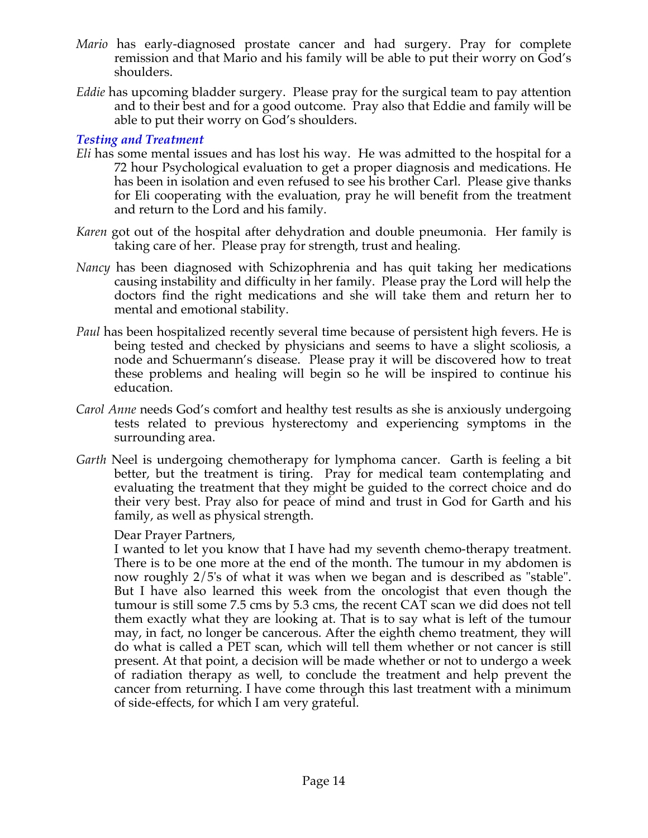- *Mario* has early-diagnosed prostate cancer and had surgery. Pray for complete remission and that Mario and his family will be able to put their worry on God's shoulders.
- *Eddie* has upcoming bladder surgery. Please pray for the surgical team to pay attention and to their best and for a good outcome. Pray also that Eddie and family will be able to put their worry on God's shoulders.

#### *Testing and Treatment*

- *Eli* has some mental issues and has lost his way. He was admitted to the hospital for a 72 hour Psychological evaluation to get a proper diagnosis and medications. He has been in isolation and even refused to see his brother Carl. Please give thanks for Eli cooperating with the evaluation, pray he will benefit from the treatment and return to the Lord and his family.
- *Karen* got out of the hospital after dehydration and double pneumonia. Her family is taking care of her. Please pray for strength, trust and healing.
- *Nancy* has been diagnosed with Schizophrenia and has quit taking her medications causing instability and difficulty in her family. Please pray the Lord will help the doctors find the right medications and she will take them and return her to mental and emotional stability.
- *Paul* has been hospitalized recently several time because of persistent high fevers. He is being tested and checked by physicians and seems to have a slight scoliosis, a node and Schuermann's disease. Please pray it will be discovered how to treat these problems and healing will begin so he will be inspired to continue his education.
- *Carol Anne* needs God's comfort and healthy test results as she is anxiously undergoing tests related to previous hysterectomy and experiencing symptoms in the surrounding area.
- *Garth* Neel is undergoing chemotherapy for lymphoma cancer. Garth is feeling a bit better, but the treatment is tiring. Pray for medical team contemplating and evaluating the treatment that they might be guided to the correct choice and do their very best. Pray also for peace of mind and trust in God for Garth and his family, as well as physical strength.

#### Dear Prayer Partners,

I wanted to let you know that I have had my seventh chemo-therapy treatment. There is to be one more at the end of the month. The tumour in my abdomen is now roughly 2/5's of what it was when we began and is described as "stable". But I have also learned this week from the oncologist that even though the tumour is still some 7.5 cms by 5.3 cms, the recent CAT scan we did does not tell them exactly what they are looking at. That is to say what is left of the tumour may, in fact, no longer be cancerous. After the eighth chemo treatment, they will do what is called a PET scan, which will tell them whether or not cancer is still present. At that point, a decision will be made whether or not to undergo a week of radiation therapy as well, to conclude the treatment and help prevent the cancer from returning. I have come through this last treatment with a minimum of side-effects, for which I am very grateful.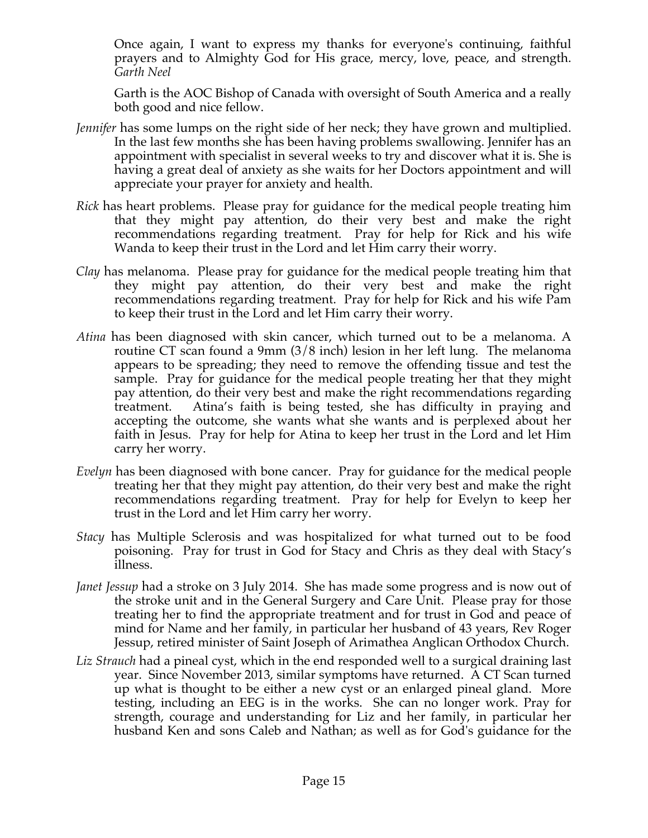Once again, I want to express my thanks for everyone's continuing, faithful prayers and to Almighty God for His grace, mercy, love, peace, and strength. *Garth Neel*

Garth is the AOC Bishop of Canada with oversight of South America and a really both good and nice fellow.

- *Jennifer* has some lumps on the right side of her neck; they have grown and multiplied. In the last few months she has been having problems swallowing. Jennifer has an appointment with specialist in several weeks to try and discover what it is. She is having a great deal of anxiety as she waits for her Doctors appointment and will appreciate your prayer for anxiety and health.
- *Rick* has heart problems. Please pray for guidance for the medical people treating him that they might pay attention, do their very best and make the right recommendations regarding treatment. Pray for help for Rick and his wife Wanda to keep their trust in the Lord and let Him carry their worry.
- *Clay* has melanoma. Please pray for guidance for the medical people treating him that they might pay attention, do their very best and make the right recommendations regarding treatment. Pray for help for Rick and his wife Pam to keep their trust in the Lord and let Him carry their worry.
- *Atina* has been diagnosed with skin cancer, which turned out to be a melanoma. A routine CT scan found a 9mm (3/8 inch) lesion in her left lung. The melanoma appears to be spreading; they need to remove the offending tissue and test the sample. Pray for guidance for the medical people treating her that they might pay attention, do their very best and make the right recommendations regarding treatment. Atina's faith is being tested, she has difficulty in praying and accepting the outcome, she wants what she wants and is perplexed about her faith in Jesus. Pray for help for Atina to keep her trust in the Lord and let Him carry her worry.
- *Evelyn* has been diagnosed with bone cancer. Pray for guidance for the medical people treating her that they might pay attention, do their very best and make the right recommendations regarding treatment. Pray for help for Evelyn to keep her trust in the Lord and let Him carry her worry.
- *Stacy* has Multiple Sclerosis and was hospitalized for what turned out to be food poisoning. Pray for trust in God for Stacy and Chris as they deal with Stacy's illness.
- *Janet Jessup* had a stroke on 3 July 2014. She has made some progress and is now out of the stroke unit and in the General Surgery and Care Unit. Please pray for those treating her to find the appropriate treatment and for trust in God and peace of mind for Name and her family, in particular her husband of 43 years, Rev Roger Jessup, retired minister of Saint Joseph of Arimathea Anglican Orthodox Church.
- *Liz Strauch* had a pineal cyst, which in the end responded well to a surgical draining last year. Since November 2013, similar symptoms have returned. A CT Scan turned up what is thought to be either a new cyst or an enlarged pineal gland. More testing, including an EEG is in the works. She can no longer work. Pray for strength, courage and understanding for Liz and her family, in particular her husband Ken and sons Caleb and Nathan; as well as for God's guidance for the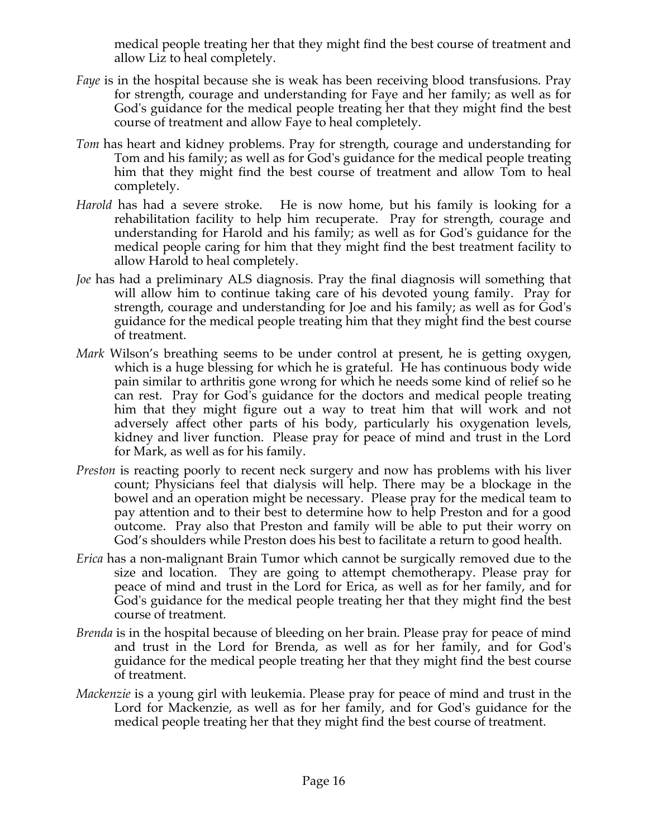medical people treating her that they might find the best course of treatment and allow Liz to heal completely.

- *Faye* is in the hospital because she is weak has been receiving blood transfusions. Pray for strength, courage and understanding for Faye and her family; as well as for God's guidance for the medical people treating her that they might find the best course of treatment and allow Faye to heal completely.
- *Tom* has heart and kidney problems. Pray for strength, courage and understanding for Tom and his family; as well as for God's guidance for the medical people treating him that they might find the best course of treatment and allow Tom to heal completely.
- *Harold* has had a severe stroke. He is now home, but his family is looking for a rehabilitation facility to help him recuperate. Pray for strength, courage and understanding for Harold and his family; as well as for God's guidance for the medical people caring for him that they might find the best treatment facility to allow Harold to heal completely.
- *Joe* has had a preliminary ALS diagnosis. Pray the final diagnosis will something that will allow him to continue taking care of his devoted young family. Pray for strength, courage and understanding for Joe and his family; as well as for God's guidance for the medical people treating him that they might find the best course of treatment.
- *Mark* Wilson's breathing seems to be under control at present, he is getting oxygen, which is a huge blessing for which he is grateful. He has continuous body wide pain similar to arthritis gone wrong for which he needs some kind of relief so he can rest. Pray for God's guidance for the doctors and medical people treating him that they might figure out a way to treat him that will work and not adversely affect other parts of his body, particularly his oxygenation levels, kidney and liver function. Please pray for peace of mind and trust in the Lord for Mark, as well as for his family.
- *Preston* is reacting poorly to recent neck surgery and now has problems with his liver count; Physicians feel that dialysis will help. There may be a blockage in the bowel and an operation might be necessary. Please pray for the medical team to pay attention and to their best to determine how to help Preston and for a good outcome. Pray also that Preston and family will be able to put their worry on God's shoulders while Preston does his best to facilitate a return to good health.
- *Erica* has a non-malignant Brain Tumor which cannot be surgically removed due to the size and location. They are going to attempt chemotherapy. Please pray for peace of mind and trust in the Lord for Erica, as well as for her family, and for God's guidance for the medical people treating her that they might find the best course of treatment.
- *Brenda* is in the hospital because of bleeding on her brain. Please pray for peace of mind and trust in the Lord for Brenda, as well as for her family, and for God's guidance for the medical people treating her that they might find the best course of treatment.
- *Mackenzie* is a young girl with leukemia. Please pray for peace of mind and trust in the Lord for Mackenzie, as well as for her family, and for God's guidance for the medical people treating her that they might find the best course of treatment.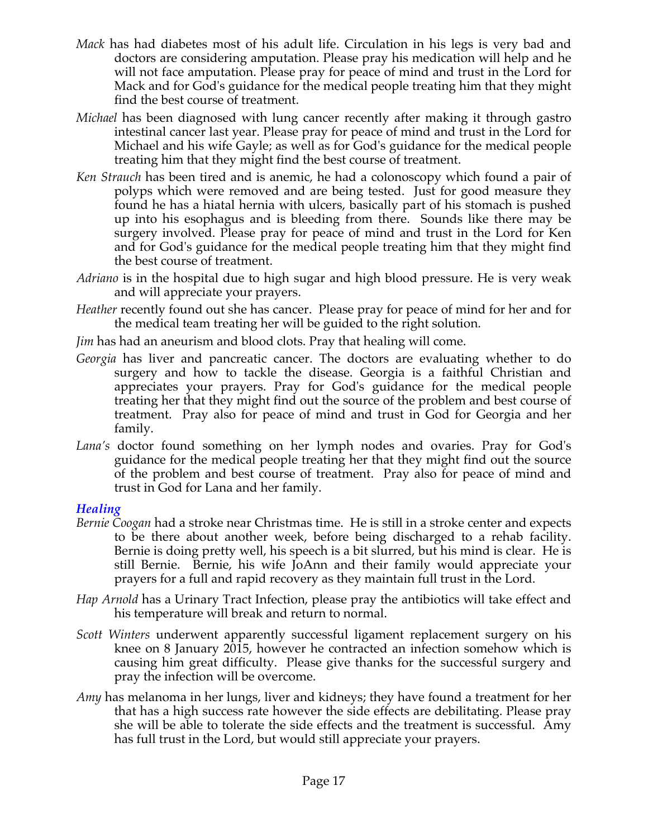- *Mack* has had diabetes most of his adult life. Circulation in his legs is very bad and doctors are considering amputation. Please pray his medication will help and he will not face amputation. Please pray for peace of mind and trust in the Lord for Mack and for God's guidance for the medical people treating him that they might find the best course of treatment.
- *Michael* has been diagnosed with lung cancer recently after making it through gastro intestinal cancer last year. Please pray for peace of mind and trust in the Lord for Michael and his wife Gayle; as well as for God's guidance for the medical people treating him that they might find the best course of treatment.
- *Ken Strauch* has been tired and is anemic, he had a colonoscopy which found a pair of polyps which were removed and are being tested. Just for good measure they found he has a hiatal hernia with ulcers, basically part of his stomach is pushed up into his esophagus and is bleeding from there. Sounds like there may be surgery involved. Please pray for peace of mind and trust in the Lord for Ken and for God's guidance for the medical people treating him that they might find the best course of treatment.
- *Adriano* is in the hospital due to high sugar and high blood pressure. He is very weak and will appreciate your prayers.
- *Heather* recently found out she has cancer. Please pray for peace of mind for her and for the medical team treating her will be guided to the right solution.
- *Jim* has had an aneurism and blood clots. Pray that healing will come.
- *Georgia* has liver and pancreatic cancer. The doctors are evaluating whether to do surgery and how to tackle the disease. Georgia is a faithful Christian and appreciates your prayers. Pray for God's guidance for the medical people treating her that they might find out the source of the problem and best course of treatment. Pray also for peace of mind and trust in God for Georgia and her family.
- *Lana's* doctor found something on her lymph nodes and ovaries. Pray for God's guidance for the medical people treating her that they might find out the source of the problem and best course of treatment. Pray also for peace of mind and trust in God for Lana and her family.

#### *Healing*

- *Bernie Coogan* had a stroke near Christmas time. He is still in a stroke center and expects to be there about another week, before being discharged to a rehab facility. Bernie is doing pretty well, his speech is a bit slurred, but his mind is clear. He is still Bernie. Bernie, his wife JoAnn and their family would appreciate your prayers for a full and rapid recovery as they maintain full trust in the Lord.
- *Hap Arnold* has a Urinary Tract Infection, please pray the antibiotics will take effect and his temperature will break and return to normal.
- *Scott Winters* underwent apparently successful ligament replacement surgery on his knee on 8 January 2015, however he contracted an infection somehow which is causing him great difficulty. Please give thanks for the successful surgery and pray the infection will be overcome.
- *Amy* has melanoma in her lungs, liver and kidneys; they have found a treatment for her that has a high success rate however the side effects are debilitating. Please pray she will be able to tolerate the side effects and the treatment is successful. Amy has full trust in the Lord, but would still appreciate your prayers.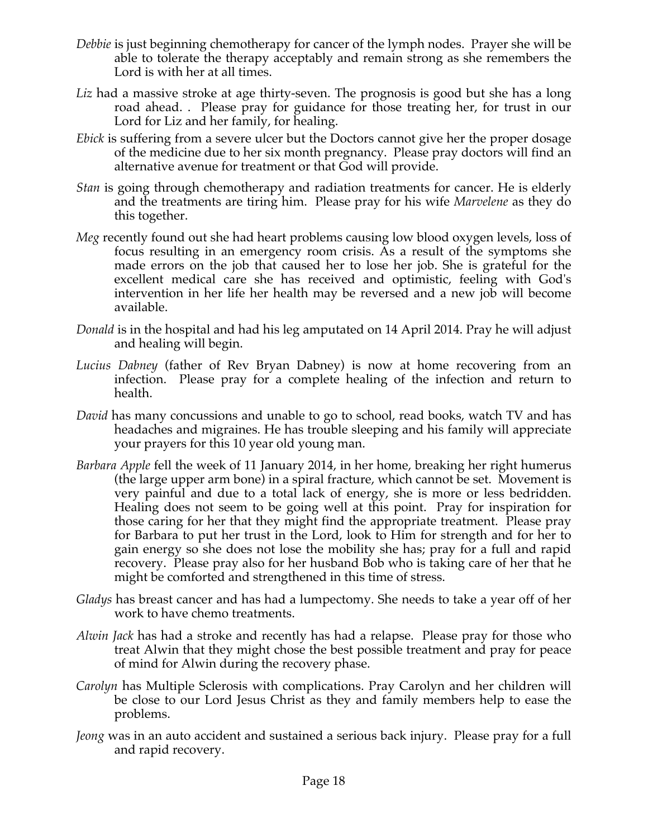- *Debbie* is just beginning chemotherapy for cancer of the lymph nodes. Prayer she will be able to tolerate the therapy acceptably and remain strong as she remembers the Lord is with her at all times.
- *Liz* had a massive stroke at age thirty-seven. The prognosis is good but she has a long road ahead. . Please pray for guidance for those treating her, for trust in our Lord for Liz and her family, for healing.
- *Ebick* is suffering from a severe ulcer but the Doctors cannot give her the proper dosage of the medicine due to her six month pregnancy. Please pray doctors will find an alternative avenue for treatment or that God will provide.
- *Stan* is going through chemotherapy and radiation treatments for cancer. He is elderly and the treatments are tiring him. Please pray for his wife *Marvelene* as they do this together.
- *Meg* recently found out she had heart problems causing low blood oxygen levels, loss of focus resulting in an emergency room crisis. As a result of the symptoms she made errors on the job that caused her to lose her job. She is grateful for the excellent medical care she has received and optimistic, feeling with God's intervention in her life her health may be reversed and a new job will become available.
- *Donald* is in the hospital and had his leg amputated on 14 April 2014. Pray he will adjust and healing will begin.
- *Lucius Dabney* (father of Rev Bryan Dabney) is now at home recovering from an infection. Please pray for a complete healing of the infection and return to health.
- *David* has many concussions and unable to go to school, read books, watch TV and has headaches and migraines. He has trouble sleeping and his family will appreciate your prayers for this 10 year old young man.
- *Barbara Apple* fell the week of 11 January 2014, in her home, breaking her right humerus (the large upper arm bone) in a spiral fracture, which cannot be set. Movement is very painful and due to a total lack of energy, she is more or less bedridden. Healing does not seem to be going well at this point. Pray for inspiration for those caring for her that they might find the appropriate treatment. Please pray for Barbara to put her trust in the Lord, look to Him for strength and for her to gain energy so she does not lose the mobility she has; pray for a full and rapid recovery. Please pray also for her husband Bob who is taking care of her that he might be comforted and strengthened in this time of stress.
- *Gladys* has breast cancer and has had a lumpectomy. She needs to take a year off of her work to have chemo treatments.
- *Alwin Jack* has had a stroke and recently has had a relapse. Please pray for those who treat Alwin that they might chose the best possible treatment and pray for peace of mind for Alwin during the recovery phase.
- *Carolyn* has Multiple Sclerosis with complications. Pray Carolyn and her children will be close to our Lord Jesus Christ as they and family members help to ease the problems.
- *Jeong* was in an auto accident and sustained a serious back injury. Please pray for a full and rapid recovery.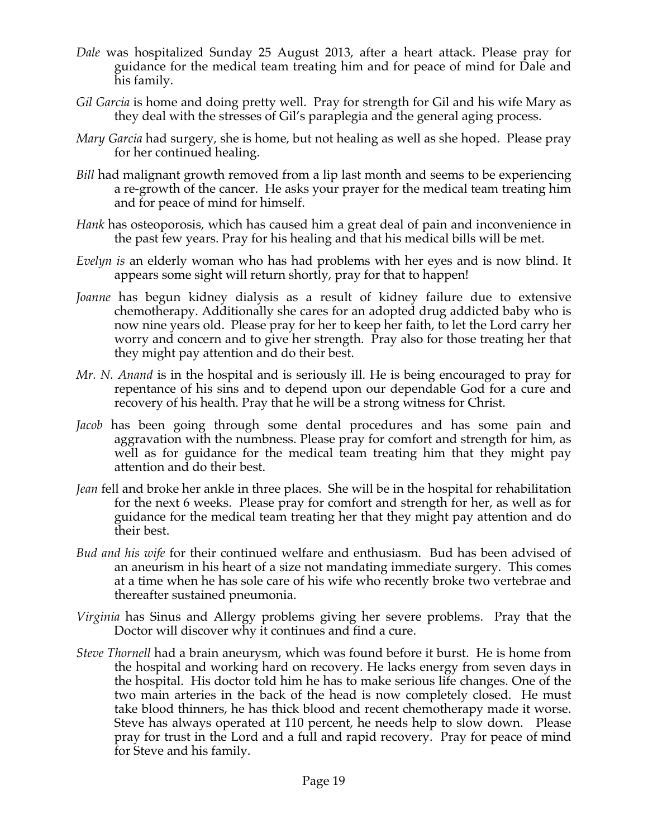- *Dale* was hospitalized Sunday 25 August 2013, after a heart attack. Please pray for guidance for the medical team treating him and for peace of mind for Dale and his family.
- *Gil Garcia* is home and doing pretty well. Pray for strength for Gil and his wife Mary as they deal with the stresses of Gil's paraplegia and the general aging process.
- *Mary Garcia* had surgery, she is home, but not healing as well as she hoped. Please pray for her continued healing.
- *Bill* had malignant growth removed from a lip last month and seems to be experiencing a re-growth of the cancer. He asks your prayer for the medical team treating him and for peace of mind for himself.
- *Hank* has osteoporosis, which has caused him a great deal of pain and inconvenience in the past few years. Pray for his healing and that his medical bills will be met.
- *Evelyn is* an elderly woman who has had problems with her eyes and is now blind. It appears some sight will return shortly, pray for that to happen!
- *Joanne* has begun kidney dialysis as a result of kidney failure due to extensive chemotherapy. Additionally she cares for an adopted drug addicted baby who is now nine years old. Please pray for her to keep her faith, to let the Lord carry her worry and concern and to give her strength. Pray also for those treating her that they might pay attention and do their best.
- *Mr. N. Anand* is in the hospital and is seriously ill. He is being encouraged to pray for repentance of his sins and to depend upon our dependable God for a cure and recovery of his health. Pray that he will be a strong witness for Christ.
- *Jacob* has been going through some dental procedures and has some pain and aggravation with the numbness. Please pray for comfort and strength for him, as well as for guidance for the medical team treating him that they might pay attention and do their best.
- *Jean* fell and broke her ankle in three places. She will be in the hospital for rehabilitation for the next 6 weeks. Please pray for comfort and strength for her, as well as for guidance for the medical team treating her that they might pay attention and do their best.
- *Bud and his wife* for their continued welfare and enthusiasm. Bud has been advised of an aneurism in his heart of a size not mandating immediate surgery. This comes at a time when he has sole care of his wife who recently broke two vertebrae and thereafter sustained pneumonia.
- *Virginia* has Sinus and Allergy problems giving her severe problems. Pray that the Doctor will discover why it continues and find a cure.
- *Steve Thornell* had a brain aneurysm, which was found before it burst. He is home from the hospital and working hard on recovery. He lacks energy from seven days in the hospital. His doctor told him he has to make serious life changes. One of the two main arteries in the back of the head is now completely closed. He must take blood thinners, he has thick blood and recent chemotherapy made it worse. Steve has always operated at 110 percent, he needs help to slow down. Please pray for trust in the Lord and a full and rapid recovery. Pray for peace of mind for Steve and his family.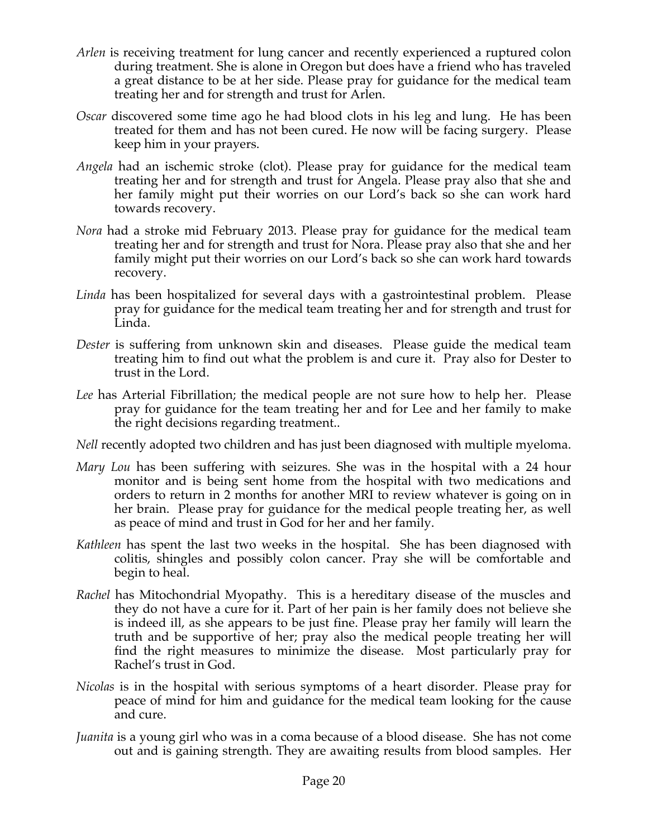- *Arlen* is receiving treatment for lung cancer and recently experienced a ruptured colon during treatment. She is alone in Oregon but does have a friend who has traveled a great distance to be at her side. Please pray for guidance for the medical team treating her and for strength and trust for Arlen.
- *Oscar* discovered some time ago he had blood clots in his leg and lung. He has been treated for them and has not been cured. He now will be facing surgery. Please keep him in your prayers.
- *Angela* had an ischemic stroke (clot). Please pray for guidance for the medical team treating her and for strength and trust for Angela. Please pray also that she and her family might put their worries on our Lord's back so she can work hard towards recovery.
- *Nora* had a stroke mid February 2013. Please pray for guidance for the medical team treating her and for strength and trust for Nora. Please pray also that she and her family might put their worries on our Lord's back so she can work hard towards recovery.
- *Linda* has been hospitalized for several days with a gastrointestinal problem. Please pray for guidance for the medical team treating her and for strength and trust for Linda.
- *Dester* is suffering from unknown skin and diseases. Please guide the medical team treating him to find out what the problem is and cure it. Pray also for Dester to trust in the Lord.
- *Lee* has Arterial Fibrillation; the medical people are not sure how to help her. Please pray for guidance for the team treating her and for Lee and her family to make the right decisions regarding treatment..
- *Nell* recently adopted two children and has just been diagnosed with multiple myeloma.
- *Mary Lou* has been suffering with seizures. She was in the hospital with a 24 hour monitor and is being sent home from the hospital with two medications and orders to return in 2 months for another MRI to review whatever is going on in her brain. Please pray for guidance for the medical people treating her, as well as peace of mind and trust in God for her and her family.
- *Kathleen* has spent the last two weeks in the hospital. She has been diagnosed with colitis, shingles and possibly colon cancer. Pray she will be comfortable and begin to heal.
- *Rachel* has Mitochondrial Myopathy. This is a hereditary disease of the muscles and they do not have a cure for it. Part of her pain is her family does not believe she is indeed ill, as she appears to be just fine. Please pray her family will learn the truth and be supportive of her; pray also the medical people treating her will find the right measures to minimize the disease. Most particularly pray for Rachel's trust in God.
- *Nicolas* is in the hospital with serious symptoms of a heart disorder. Please pray for peace of mind for him and guidance for the medical team looking for the cause and cure.
- *Juanita* is a young girl who was in a coma because of a blood disease. She has not come out and is gaining strength. They are awaiting results from blood samples. Her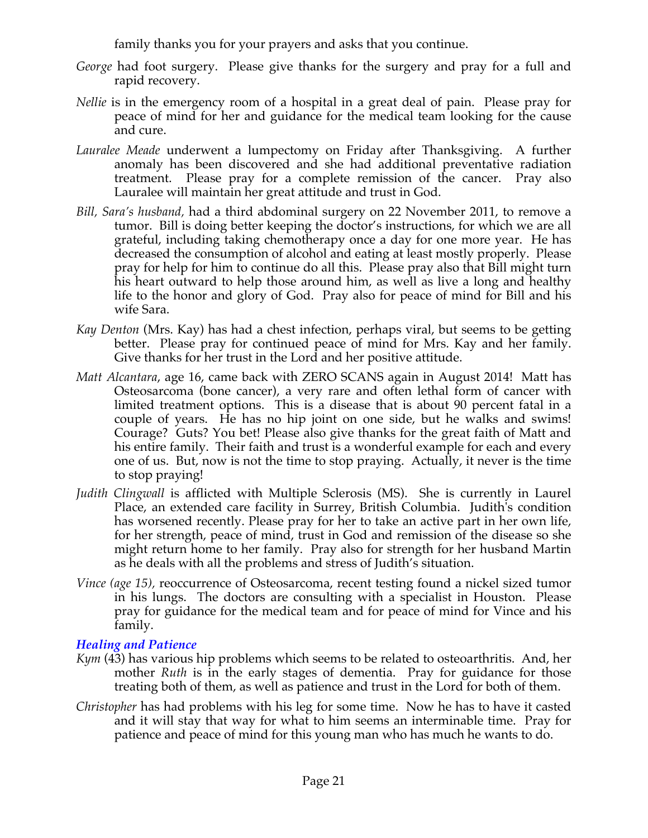family thanks you for your prayers and asks that you continue.

- *George* had foot surgery. Please give thanks for the surgery and pray for a full and rapid recovery.
- *Nellie* is in the emergency room of a hospital in a great deal of pain. Please pray for peace of mind for her and guidance for the medical team looking for the cause and cure.
- *Lauralee Meade* underwent a lumpectomy on Friday after Thanksgiving. A further anomaly has been discovered and she had additional preventative radiation treatment. Please pray for a complete remission of the cancer. Pray also Lauralee will maintain her great attitude and trust in God.
- *Bill, Sara's husband,* had a third abdominal surgery on 22 November 2011, to remove a tumor. Bill is doing better keeping the doctor's instructions, for which we are all grateful, including taking chemotherapy once a day for one more year. He has decreased the consumption of alcohol and eating at least mostly properly. Please pray for help for him to continue do all this. Please pray also that Bill might turn his heart outward to help those around him, as well as live a long and healthy life to the honor and glory of God. Pray also for peace of mind for Bill and his wife Sara.
- *Kay Denton* (Mrs. Kay) has had a chest infection, perhaps viral, but seems to be getting better. Please pray for continued peace of mind for Mrs. Kay and her family. Give thanks for her trust in the Lord and her positive attitude.
- *Matt Alcantara*, age 16, came back with ZERO SCANS again in August 2014! Matt has Osteosarcoma (bone cancer), a very rare and often lethal form of cancer with limited treatment options. This is a disease that is about 90 percent fatal in a couple of years. He has no hip joint on one side, but he walks and swims! Courage? Guts? You bet! Please also give thanks for the great faith of Matt and his entire family. Their faith and trust is a wonderful example for each and every one of us. But, now is not the time to stop praying. Actually, it never is the time to stop praying!
- *Judith Clingwall* is afflicted with Multiple Sclerosis (MS). She is currently in Laurel Place, an extended care facility in Surrey, British Columbia. Judith's condition has worsened recently. Please pray for her to take an active part in her own life, for her strength, peace of mind, trust in God and remission of the disease so she might return home to her family. Pray also for strength for her husband Martin as he deals with all the problems and stress of Judith's situation.
- *Vince (age 15),* reoccurrence of Osteosarcoma, recent testing found a nickel sized tumor in his lungs. The doctors are consulting with a specialist in Houston. Please pray for guidance for the medical team and for peace of mind for Vince and his family.

# *Healing and Patience*

- *Kym* (43) has various hip problems which seems to be related to osteoarthritis. And, her mother *Ruth* is in the early stages of dementia. Pray for guidance for those treating both of them, as well as patience and trust in the Lord for both of them.
- *Christopher* has had problems with his leg for some time. Now he has to have it casted and it will stay that way for what to him seems an interminable time. Pray for patience and peace of mind for this young man who has much he wants to do.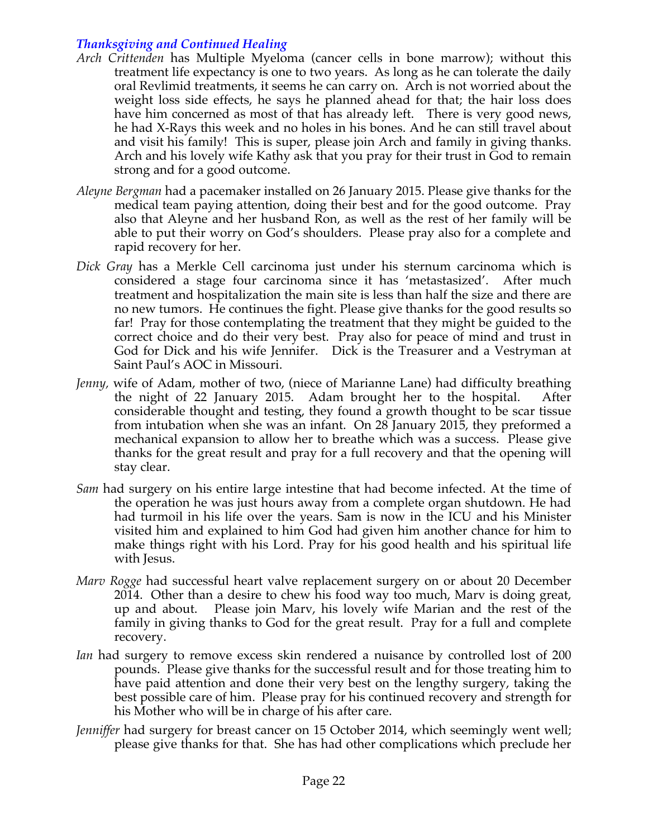# *Thanksgiving and Continued Healing*

- *Arch Crittenden* has Multiple Myeloma (cancer cells in bone marrow); without this treatment life expectancy is one to two years. As long as he can tolerate the daily oral Revlimid treatments, it seems he can carry on. Arch is not worried about the weight loss side effects, he says he planned ahead for that; the hair loss does have him concerned as most of that has already left. There is very good news, he had X-Rays this week and no holes in his bones. And he can still travel about and visit his family! This is super, please join Arch and family in giving thanks. Arch and his lovely wife Kathy ask that you pray for their trust in God to remain strong and for a good outcome.
- *Aleyne Bergman* had a pacemaker installed on 26 January 2015. Please give thanks for the medical team paying attention, doing their best and for the good outcome. Pray also that Aleyne and her husband Ron, as well as the rest of her family will be able to put their worry on God's shoulders. Please pray also for a complete and rapid recovery for her.
- *Dick Gray* has a Merkle Cell carcinoma just under his sternum carcinoma which is considered a stage four carcinoma since it has 'metastasized'. After much treatment and hospitalization the main site is less than half the size and there are no new tumors. He continues the fight. Please give thanks for the good results so far! Pray for those contemplating the treatment that they might be guided to the correct choice and do their very best. Pray also for peace of mind and trust in God for Dick and his wife Jennifer. Dick is the Treasurer and a Vestryman at Saint Paul's AOC in Missouri.
- *Jenny,* wife of Adam, mother of two, (niece of Marianne Lane) had difficulty breathing the night of 22 January 2015. Adam brought her to the hospital. After considerable thought and testing, they found a growth thought to be scar tissue from intubation when she was an infant. On 28 January 2015, they preformed a mechanical expansion to allow her to breathe which was a success. Please give thanks for the great result and pray for a full recovery and that the opening will stay clear.
- *Sam* had surgery on his entire large intestine that had become infected. At the time of the operation he was just hours away from a complete organ shutdown. He had had turmoil in his life over the years. Sam is now in the ICU and his Minister visited him and explained to him God had given him another chance for him to make things right with his Lord. Pray for his good health and his spiritual life with Jesus.
- *Marv Rogge* had successful heart valve replacement surgery on or about 20 December 2014. Other than a desire to chew his food way too much, Marv is doing great, up and about. Please join Marv, his lovely wife Marian and the rest of the family in giving thanks to God for the great result. Pray for a full and complete recovery.
- *Ian* had surgery to remove excess skin rendered a nuisance by controlled lost of 200 pounds. Please give thanks for the successful result and for those treating him to have paid attention and done their very best on the lengthy surgery, taking the best possible care of him. Please pray for his continued recovery and strength for his Mother who will be in charge of his after care.
- *Jenniffer* had surgery for breast cancer on 15 October 2014, which seemingly went well; please give thanks for that. She has had other complications which preclude her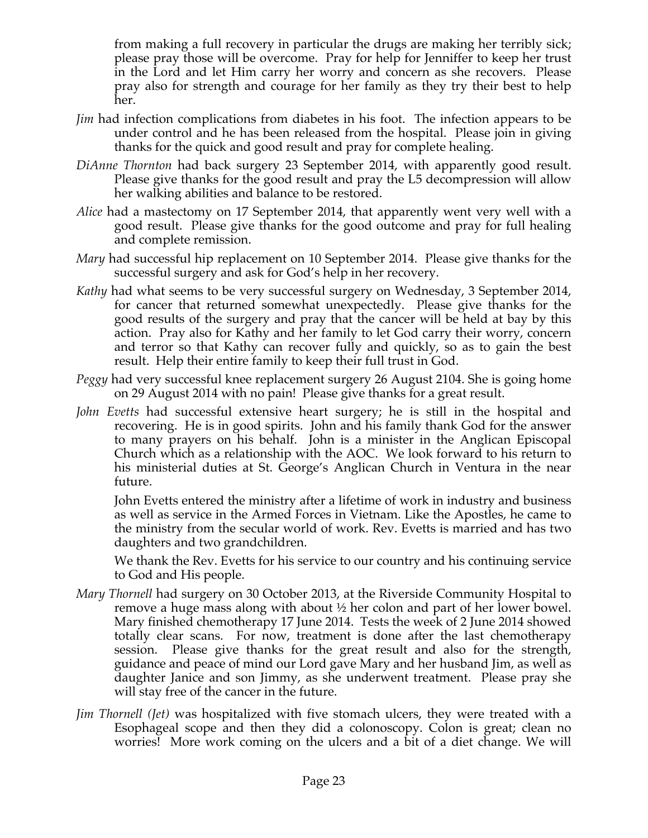from making a full recovery in particular the drugs are making her terribly sick; please pray those will be overcome. Pray for help for Jenniffer to keep her trust in the Lord and let Him carry her worry and concern as she recovers. Please pray also for strength and courage for her family as they try their best to help her.

- *Jim* had infection complications from diabetes in his foot. The infection appears to be under control and he has been released from the hospital. Please join in giving thanks for the quick and good result and pray for complete healing.
- *DiAnne Thornton* had back surgery 23 September 2014, with apparently good result. Please give thanks for the good result and pray the L5 decompression will allow her walking abilities and balance to be restored.
- *Alice* had a mastectomy on 17 September 2014, that apparently went very well with a good result. Please give thanks for the good outcome and pray for full healing and complete remission.
- *Mary* had successful hip replacement on 10 September 2014. Please give thanks for the successful surgery and ask for God's help in her recovery.
- *Kathy* had what seems to be very successful surgery on Wednesday, 3 September 2014, for cancer that returned somewhat unexpectedly. Please give thanks for the good results of the surgery and pray that the cancer will be held at bay by this action. Pray also for Kathy and her family to let God carry their worry, concern and terror so that Kathy can recover fully and quickly, so as to gain the best result. Help their entire family to keep their full trust in God.
- *Peggy* had very successful knee replacement surgery 26 August 2104. She is going home on 29 August 2014 with no pain! Please give thanks for a great result.
- *John Evetts* had successful extensive heart surgery; he is still in the hospital and recovering. He is in good spirits. John and his family thank God for the answer to many prayers on his behalf. John is a minister in the Anglican Episcopal Church which as a relationship with the AOC. We look forward to his return to his ministerial duties at St. George's Anglican Church in Ventura in the near future.

John Evetts entered the ministry after a lifetime of work in industry and business as well as service in the Armed Forces in Vietnam. Like the Apostles, he came to the ministry from the secular world of work. Rev. Evetts is married and has two daughters and two grandchildren.

We thank the Rev. Evetts for his service to our country and his continuing service to God and His people.

- *Mary Thornell* had surgery on 30 October 2013, at the Riverside Community Hospital to remove a huge mass along with about ½ her colon and part of her lower bowel. Mary finished chemotherapy 17 June 2014. Tests the week of 2 June 2014 showed totally clear scans. For now, treatment is done after the last chemotherapy session. Please give thanks for the great result and also for the strength, guidance and peace of mind our Lord gave Mary and her husband Jim, as well as daughter Janice and son Jimmy, as she underwent treatment. Please pray she will stay free of the cancer in the future.
- *Jim Thornell (Jet)* was hospitalized with five stomach ulcers, they were treated with a Esophageal scope and then they did a colonoscopy. Colon is great; clean no worries! More work coming on the ulcers and a bit of a diet change. We will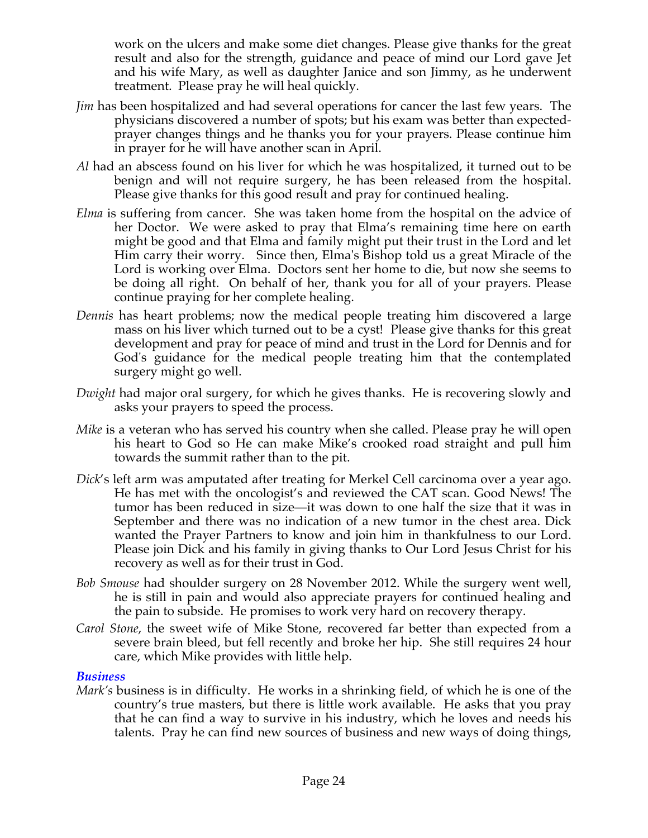work on the ulcers and make some diet changes. Please give thanks for the great result and also for the strength, guidance and peace of mind our Lord gave Jet and his wife Mary, as well as daughter Janice and son Jimmy, as he underwent treatment. Please pray he will heal quickly.

- *Jim* has been hospitalized and had several operations for cancer the last few years. The physicians discovered a number of spots; but his exam was better than expectedprayer changes things and he thanks you for your prayers. Please continue him in prayer for he will have another scan in April.
- *Al* had an abscess found on his liver for which he was hospitalized, it turned out to be benign and will not require surgery, he has been released from the hospital. Please give thanks for this good result and pray for continued healing.
- *Elma* is suffering from cancer. She was taken home from the hospital on the advice of her Doctor. We were asked to pray that Elma's remaining time here on earth might be good and that Elma and family might put their trust in the Lord and let Him carry their worry. Since then, Elma's Bishop told us a great Miracle of the Lord is working over Elma. Doctors sent her home to die, but now she seems to be doing all right. On behalf of her, thank you for all of your prayers. Please continue praying for her complete healing.
- *Dennis* has heart problems; now the medical people treating him discovered a large mass on his liver which turned out to be a cyst! Please give thanks for this great development and pray for peace of mind and trust in the Lord for Dennis and for God's guidance for the medical people treating him that the contemplated surgery might go well.
- *Dwight* had major oral surgery, for which he gives thanks. He is recovering slowly and asks your prayers to speed the process.
- *Mike* is a veteran who has served his country when she called. Please pray he will open his heart to God so He can make Mike's crooked road straight and pull him towards the summit rather than to the pit.
- *Dick*'s left arm was amputated after treating for Merkel Cell carcinoma over a year ago. He has met with the oncologist's and reviewed the CAT scan. Good News! The tumor has been reduced in size—it was down to one half the size that it was in September and there was no indication of a new tumor in the chest area. Dick wanted the Prayer Partners to know and join him in thankfulness to our Lord. Please join Dick and his family in giving thanks to Our Lord Jesus Christ for his recovery as well as for their trust in God.
- *Bob Smouse* had shoulder surgery on 28 November 2012. While the surgery went well, he is still in pain and would also appreciate prayers for continued healing and the pain to subside. He promises to work very hard on recovery therapy.
- *Carol Stone*, the sweet wife of Mike Stone, recovered far better than expected from a severe brain bleed, but fell recently and broke her hip. She still requires 24 hour care, which Mike provides with little help.

#### *Business*

*Mark's* business is in difficulty. He works in a shrinking field, of which he is one of the country's true masters, but there is little work available. He asks that you pray that he can find a way to survive in his industry, which he loves and needs his talents. Pray he can find new sources of business and new ways of doing things,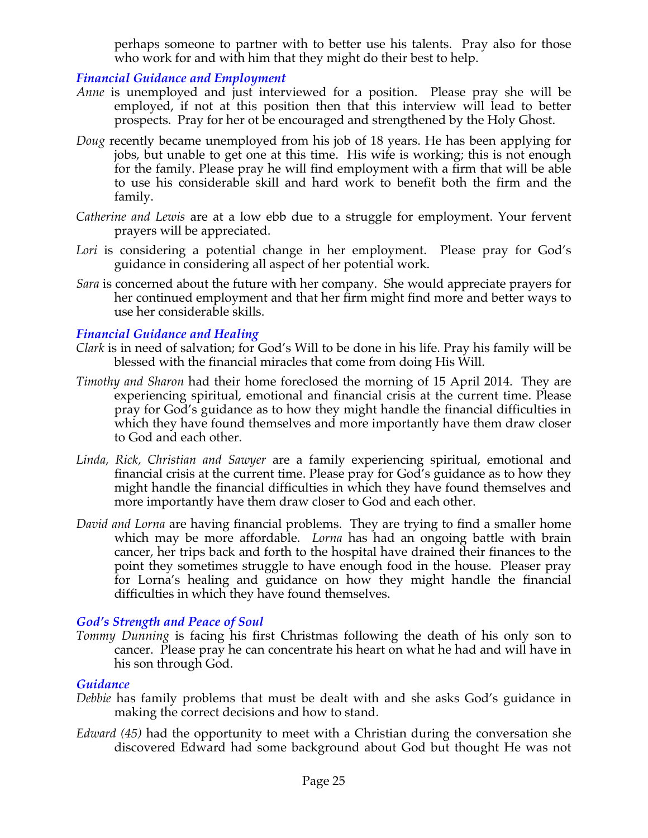perhaps someone to partner with to better use his talents. Pray also for those who work for and with him that they might do their best to help.

#### *Financial Guidance and Employment*

- *Anne* is unemployed and just interviewed for a position. Please pray she will be employed, if not at this position then that this interview will lead to better prospects. Pray for her ot be encouraged and strengthened by the Holy Ghost.
- *Doug* recently became unemployed from his job of 18 years. He has been applying for jobs, but unable to get one at this time. His wife is working; this is not enough for the family. Please pray he will find employment with a firm that will be able to use his considerable skill and hard work to benefit both the firm and the family.
- *Catherine and Lewis* are at a low ebb due to a struggle for employment. Your fervent prayers will be appreciated.
- Lori is considering a potential change in her employment. Please pray for God's guidance in considering all aspect of her potential work.
- *Sara* is concerned about the future with her company. She would appreciate prayers for her continued employment and that her firm might find more and better ways to use her considerable skills.

#### *Financial Guidance and Healing*

- *Clark* is in need of salvation; for God's Will to be done in his life. Pray his family will be blessed with the financial miracles that come from doing His Will.
- *Timothy and Sharon* had their home foreclosed the morning of 15 April 2014. They are experiencing spiritual, emotional and financial crisis at the current time. Please pray for God's guidance as to how they might handle the financial difficulties in which they have found themselves and more importantly have them draw closer to God and each other.
- *Linda, Rick, Christian and Sawyer* are a family experiencing spiritual, emotional and financial crisis at the current time. Please pray for God's guidance as to how they might handle the financial difficulties in which they have found themselves and more importantly have them draw closer to God and each other.
- *David and Lorna* are having financial problems. They are trying to find a smaller home which may be more affordable. *Lorna* has had an ongoing battle with brain cancer, her trips back and forth to the hospital have drained their finances to the point they sometimes struggle to have enough food in the house. Pleaser pray for Lorna's healing and guidance on how they might handle the financial difficulties in which they have found themselves.

# *God's Strength and Peace of Soul*

*Tommy Dunning* is facing his first Christmas following the death of his only son to cancer. Please pray he can concentrate his heart on what he had and will have in his son through God.

#### *Guidance*

- *Debbie* has family problems that must be dealt with and she asks God's guidance in making the correct decisions and how to stand.
- *Edward (45)* had the opportunity to meet with a Christian during the conversation she discovered Edward had some background about God but thought He was not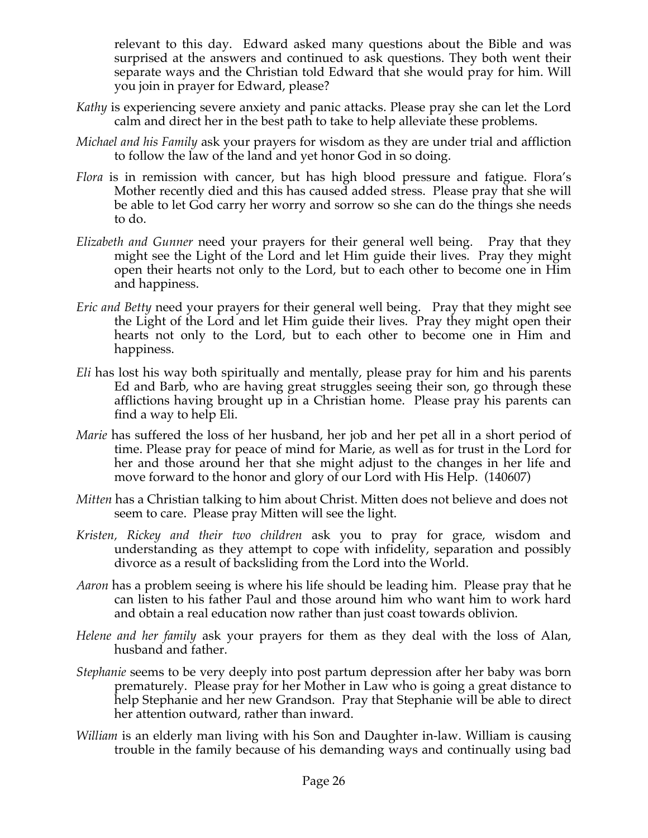relevant to this day. Edward asked many questions about the Bible and was surprised at the answers and continued to ask questions. They both went their separate ways and the Christian told Edward that she would pray for him. Will you join in prayer for Edward, please?

- *Kathy* is experiencing severe anxiety and panic attacks. Please pray she can let the Lord calm and direct her in the best path to take to help alleviate these problems.
- *Michael and his Family* ask your prayers for wisdom as they are under trial and affliction to follow the law of the land and yet honor God in so doing.
- *Flora* is in remission with cancer, but has high blood pressure and fatigue. Flora's Mother recently died and this has caused added stress. Please pray that she will be able to let God carry her worry and sorrow so she can do the things she needs to do.
- *Elizabeth and Gunner* need your prayers for their general well being. Pray that they might see the Light of the Lord and let Him guide their lives. Pray they might open their hearts not only to the Lord, but to each other to become one in Him and happiness.
- *Eric and Betty* need your prayers for their general well being. Pray that they might see the Light of the Lord and let Him guide their lives. Pray they might open their hearts not only to the Lord, but to each other to become one in Him and happiness.
- *Eli* has lost his way both spiritually and mentally, please pray for him and his parents Ed and Barb, who are having great struggles seeing their son, go through these afflictions having brought up in a Christian home. Please pray his parents can find a way to help Eli.
- *Marie* has suffered the loss of her husband, her job and her pet all in a short period of time. Please pray for peace of mind for Marie, as well as for trust in the Lord for her and those around her that she might adjust to the changes in her life and move forward to the honor and glory of our Lord with His Help. (140607)
- *Mitten* has a Christian talking to him about Christ. Mitten does not believe and does not seem to care. Please pray Mitten will see the light.
- *Kristen, Rickey and their two children* ask you to pray for grace, wisdom and understanding as they attempt to cope with infidelity, separation and possibly divorce as a result of backsliding from the Lord into the World.
- *Aaron* has a problem seeing is where his life should be leading him. Please pray that he can listen to his father Paul and those around him who want him to work hard and obtain a real education now rather than just coast towards oblivion.
- *Helene and her family* ask your prayers for them as they deal with the loss of Alan, husband and father.
- *Stephanie* seems to be very deeply into post partum depression after her baby was born prematurely. Please pray for her Mother in Law who is going a great distance to help Stephanie and her new Grandson. Pray that Stephanie will be able to direct her attention outward, rather than inward.
- *William* is an elderly man living with his Son and Daughter in-law. William is causing trouble in the family because of his demanding ways and continually using bad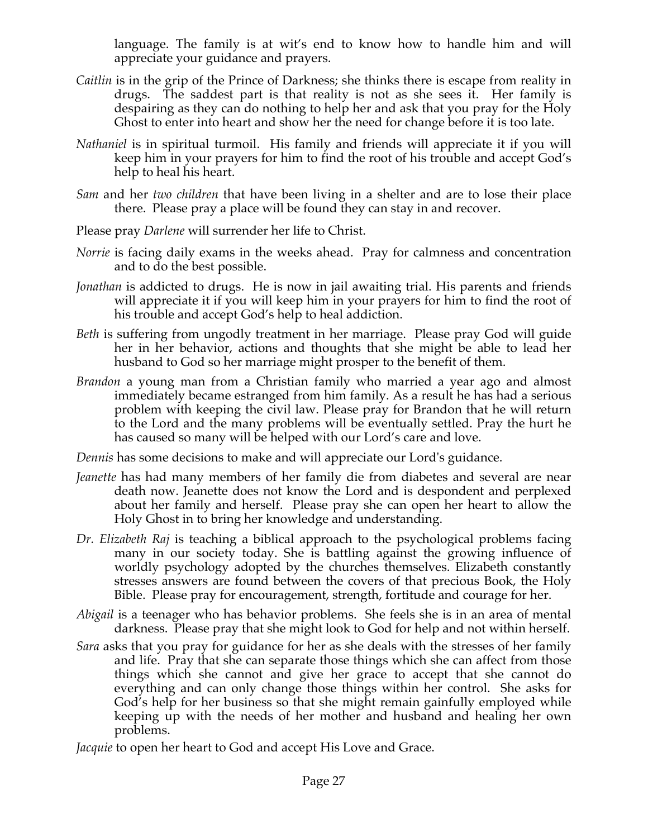language. The family is at wit's end to know how to handle him and will appreciate your guidance and prayers.

- *Caitlin* is in the grip of the Prince of Darkness; she thinks there is escape from reality in drugs. The saddest part is that reality is not as she sees it. Her family is despairing as they can do nothing to help her and ask that you pray for the Holy Ghost to enter into heart and show her the need for change before it is too late.
- *Nathaniel* is in spiritual turmoil. His family and friends will appreciate it if you will keep him in your prayers for him to find the root of his trouble and accept God's help to heal his heart.
- *Sam* and her *two children* that have been living in a shelter and are to lose their place there. Please pray a place will be found they can stay in and recover.
- Please pray *Darlene* will surrender her life to Christ.
- *Norrie* is facing daily exams in the weeks ahead. Pray for calmness and concentration and to do the best possible.
- *Jonathan* is addicted to drugs. He is now in jail awaiting trial. His parents and friends will appreciate it if you will keep him in your prayers for him to find the root of his trouble and accept God's help to heal addiction.
- *Beth* is suffering from ungodly treatment in her marriage. Please pray God will guide her in her behavior, actions and thoughts that she might be able to lead her husband to God so her marriage might prosper to the benefit of them.
- *Brandon* a young man from a Christian family who married a year ago and almost immediately became estranged from him family. As a result he has had a serious problem with keeping the civil law. Please pray for Brandon that he will return to the Lord and the many problems will be eventually settled. Pray the hurt he has caused so many will be helped with our Lord's care and love.

*Dennis* has some decisions to make and will appreciate our Lord's guidance.

- *Jeanette* has had many members of her family die from diabetes and several are near death now. Jeanette does not know the Lord and is despondent and perplexed about her family and herself. Please pray she can open her heart to allow the Holy Ghost in to bring her knowledge and understanding.
- *Dr. Elizabeth Raj* is teaching a biblical approach to the psychological problems facing many in our society today. She is battling against the growing influence of worldly psychology adopted by the churches themselves. Elizabeth constantly stresses answers are found between the covers of that precious Book, the Holy Bible. Please pray for encouragement, strength, fortitude and courage for her.
- *Abigail* is a teenager who has behavior problems. She feels she is in an area of mental darkness. Please pray that she might look to God for help and not within herself.
- *Sara* asks that you pray for guidance for her as she deals with the stresses of her family and life. Pray that she can separate those things which she can affect from those things which she cannot and give her grace to accept that she cannot do everything and can only change those things within her control. She asks for God's help for her business so that she might remain gainfully employed while keeping up with the needs of her mother and husband and healing her own problems.

*Jacquie* to open her heart to God and accept His Love and Grace.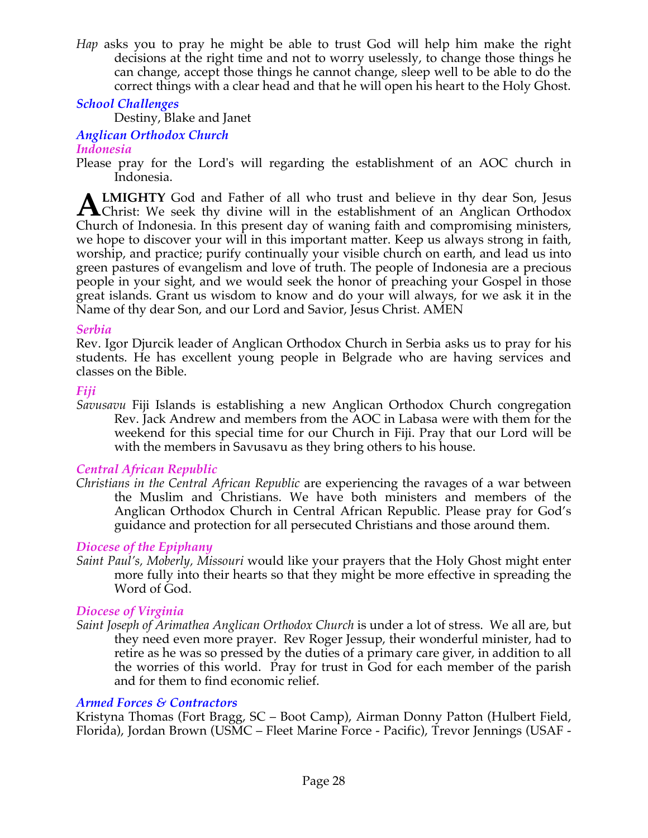*Hap* asks you to pray he might be able to trust God will help him make the right decisions at the right time and not to worry uselessly, to change those things he can change, accept those things he cannot change, sleep well to be able to do the correct things with a clear head and that he will open his heart to the Holy Ghost.

# *School Challenges*

Destiny, Blake and Janet

# *Anglican Orthodox Church*

# *Indonesia*

Please pray for the Lord's will regarding the establishment of an AOC church in Indonesia.

**LMIGHTY** God and Father of all who trust and believe in thy dear Son, Jesus **ALMIGHTY** God and Father of all who trust and believe in thy dear Son, Jesus Christ: We seek thy divine will in the establishment of an Anglican Orthodox Church of Indonesia. In this present day of waning faith and compromising ministers, we hope to discover your will in this important matter. Keep us always strong in faith, worship, and practice; purify continually your visible church on earth, and lead us into green pastures of evangelism and love of truth. The people of Indonesia are a precious people in your sight, and we would seek the honor of preaching your Gospel in those great islands. Grant us wisdom to know and do your will always, for we ask it in the Name of thy dear Son, and our Lord and Savior, Jesus Christ. AMEN

#### *Serbia*

Rev. Igor Djurcik leader of Anglican Orthodox Church in Serbia asks us to pray for his students. He has excellent young people in Belgrade who are having services and classes on the Bible.

#### *Fiji*

*Savusavu* Fiji Islands is establishing a new Anglican Orthodox Church congregation Rev. Jack Andrew and members from the AOC in Labasa were with them for the weekend for this special time for our Church in Fiji. Pray that our Lord will be with the members in Savusavu as they bring others to his house.

# *Central African Republic*

*Christians in the Central African Republic* are experiencing the ravages of a war between the Muslim and Christians. We have both ministers and members of the Anglican Orthodox Church in Central African Republic. Please pray for God's guidance and protection for all persecuted Christians and those around them.

# *Diocese of the Epiphany*

*Saint Paul's, Moberly, Missouri* would like your prayers that the Holy Ghost might enter more fully into their hearts so that they might be more effective in spreading the Word of God.

# *Diocese of Virginia*

*Saint Joseph of Arimathea Anglican Orthodox Church* is under a lot of stress. We all are, but they need even more prayer. Rev Roger Jessup, their wonderful minister, had to retire as he was so pressed by the duties of a primary care giver, in addition to all the worries of this world. Pray for trust in God for each member of the parish and for them to find economic relief.

# *Armed Forces & Contractors*

Kristyna Thomas (Fort Bragg, SC – Boot Camp), Airman Donny Patton (Hulbert Field, Florida), Jordan Brown (USMC – Fleet Marine Force - Pacific), Trevor Jennings (USAF -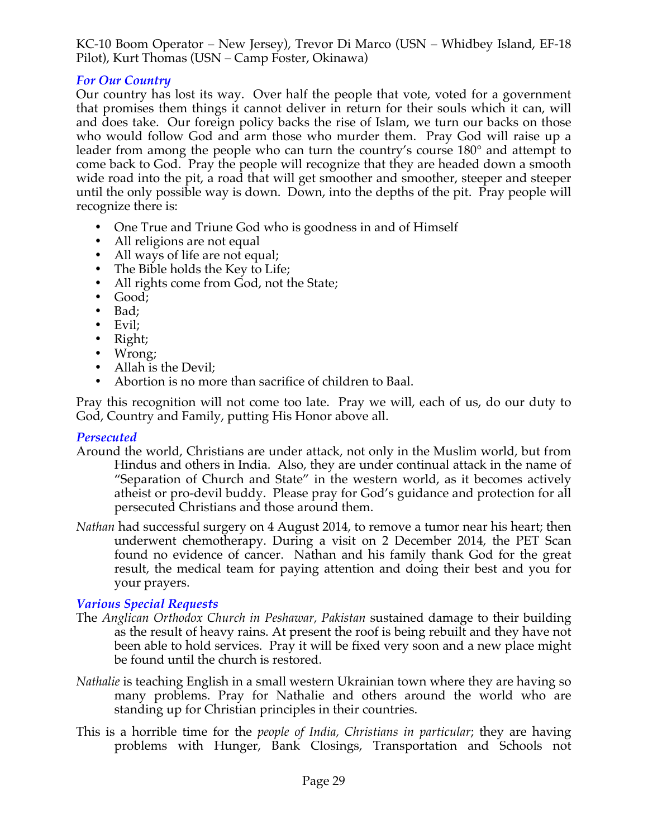KC-10 Boom Operator – New Jersey), Trevor Di Marco (USN – Whidbey Island, EF-18 Pilot), Kurt Thomas (USN – Camp Foster, Okinawa)

# *For Our Country*

Our country has lost its way. Over half the people that vote, voted for a government that promises them things it cannot deliver in return for their souls which it can, will and does take. Our foreign policy backs the rise of Islam, we turn our backs on those who would follow God and arm those who murder them. Pray God will raise up a leader from among the people who can turn the country's course 180° and attempt to come back to God. Pray the people will recognize that they are headed down a smooth wide road into the pit, a road that will get smoother and smoother, steeper and steeper until the only possible way is down. Down, into the depths of the pit. Pray people will recognize there is:

- One True and Triune God who is goodness in and of Himself
- All religions are not equal
- All ways of life are not equal;
- The Bible holds the Key to Life;
- All rights come from God, not the State;
- Good;
- Bad;
- Evil;
- Right;
- Wrong;
- Allah is the Devil;
- Abortion is no more than sacrifice of children to Baal.

Pray this recognition will not come too late. Pray we will, each of us, do our duty to God, Country and Family, putting His Honor above all.

# *Persecuted*

- Around the world, Christians are under attack, not only in the Muslim world, but from Hindus and others in India. Also, they are under continual attack in the name of "Separation of Church and State" in the western world, as it becomes actively atheist or pro-devil buddy. Please pray for God's guidance and protection for all persecuted Christians and those around them.
- *Nathan* had successful surgery on 4 August 2014, to remove a tumor near his heart; then underwent chemotherapy. During a visit on 2 December 2014, the PET Scan found no evidence of cancer. Nathan and his family thank God for the great result, the medical team for paying attention and doing their best and you for your prayers.

# *Various Special Requests*

- The *Anglican Orthodox Church in Peshawar, Pakistan* sustained damage to their building as the result of heavy rains. At present the roof is being rebuilt and they have not been able to hold services. Pray it will be fixed very soon and a new place might be found until the church is restored.
- *Nathalie* is teaching English in a small western Ukrainian town where they are having so many problems. Pray for Nathalie and others around the world who are standing up for Christian principles in their countries.
- This is a horrible time for the *people of India, Christians in particular*; they are having problems with Hunger, Bank Closings, Transportation and Schools not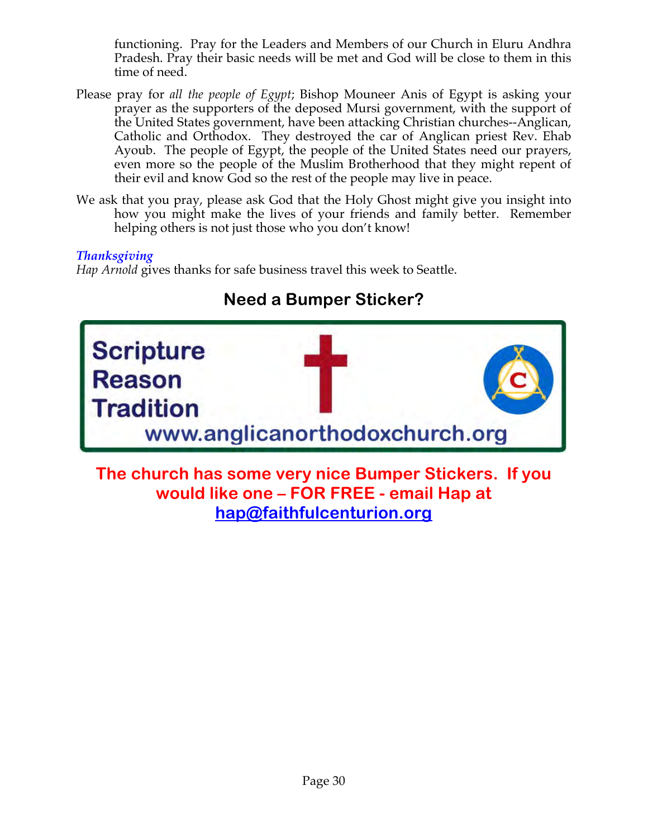functioning. Pray for the Leaders and Members of our Church in Eluru Andhra Pradesh. Pray their basic needs will be met and God will be close to them in this time of need.

- Please pray for *all the people of Egypt*; Bishop Mouneer Anis of Egypt is asking your prayer as the supporters of the deposed Mursi government, with the support of the United States government, have been attacking Christian churches--Anglican, Catholic and Orthodox. They destroyed the car of Anglican priest Rev. Ehab Ayoub. The people of Egypt, the people of the United States need our prayers, even more so the people of the Muslim Brotherhood that they might repent of their evil and know God so the rest of the people may live in peace.
- We ask that you pray, please ask God that the Holy Ghost might give you insight into how you might make the lives of your friends and family better. Remember helping others is not just those who you don't know!

# *Thanksgiving*

*Hap Arnold* gives thanks for safe business travel this week to Seattle.

# **Scripture** Reason **Tradition** www.anglicanorthodoxchurch.org

# **Need a Bumper Sticker?**

**The church has some very nice Bumper Stickers. If you would like one – FOR FREE - email Hap at hap@faithfulcenturion.org**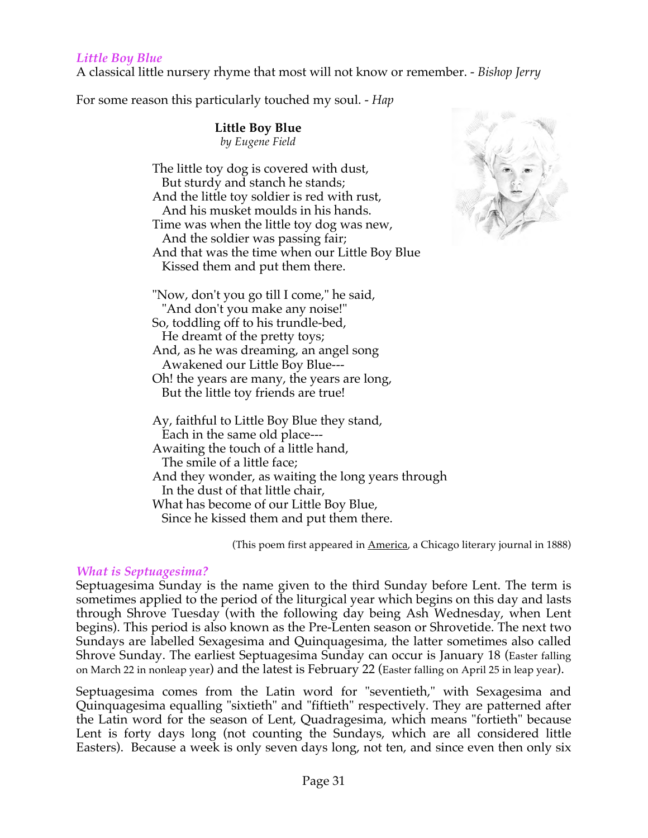#### *Little Boy Blue*

A classical little nursery rhyme that most will not know or remember. - *Bishop Jerry*

For some reason this particularly touched my soul. - *Hap*

**Little Boy Blue** *by Eugene Field*

The little toy dog is covered with dust, But sturdy and stanch he stands; And the little toy soldier is red with rust, And his musket moulds in his hands. Time was when the little toy dog was new, And the soldier was passing fair; And that was the time when our Little Boy Blue Kissed them and put them there.



"Now, don't you go till I come," he said, "And don't you make any noise!" So, toddling off to his trundle-bed, He dreamt of the pretty toys; And, as he was dreaming, an angel song Awakened our Little Boy Blue--- Oh! the years are many, the years are long, But the little toy friends are true! Ay, faithful to Little Boy Blue they stand, Each in the same old place--- Awaiting the touch of a little hand,

The smile of a little face;

And they wonder, as waiting the long years through In the dust of that little chair, What has become of our Little Boy Blue,

Since he kissed them and put them there.

(This poem first appeared in **America**, a Chicago literary journal in 1888)

#### *What is Septuagesima?*

Septuagesima Sunday is the name given to the third Sunday before Lent. The term is sometimes applied to the period of the liturgical year which begins on this day and lasts through Shrove Tuesday (with the following day being Ash Wednesday, when Lent begins). This period is also known as the Pre-Lenten season or Shrovetide. The next two Sundays are labelled Sexagesima and Quinquagesima, the latter sometimes also called Shrove Sunday. The earliest Septuagesima Sunday can occur is January 18 (Easter falling on March 22 in nonleap year) and the latest is February 22 (Easter falling on April 25 in leap year).

Septuagesima comes from the Latin word for "seventieth," with Sexagesima and Quinquagesima equalling "sixtieth" and "fiftieth" respectively. They are patterned after the Latin word for the season of Lent, Quadragesima, which means "fortieth" because Lent is forty days long (not counting the Sundays, which are all considered little Easters). Because a week is only seven days long, not ten, and since even then only six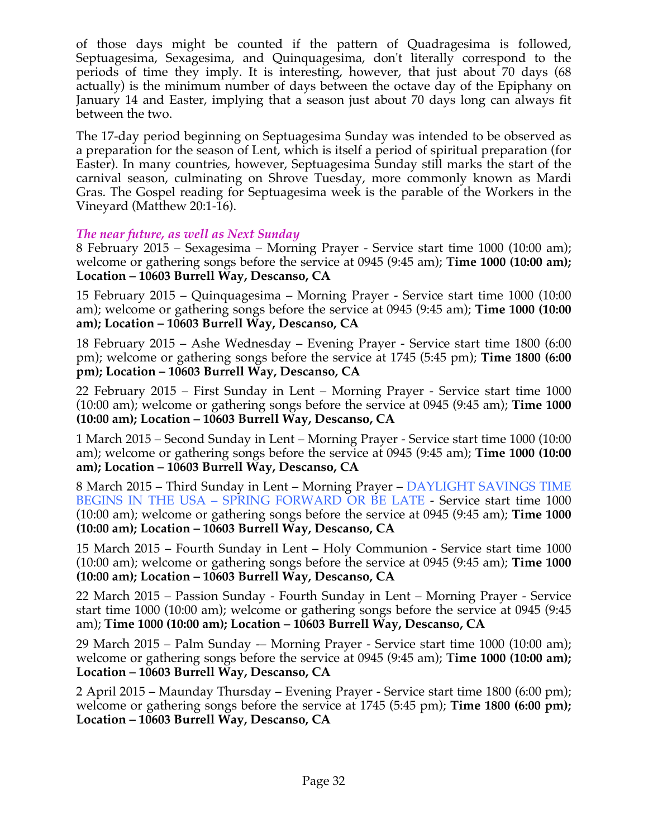of those days might be counted if the pattern of Quadragesima is followed, Septuagesima, Sexagesima, and Quinquagesima, don't literally correspond to the periods of time they imply. It is interesting, however, that just about 70 days (68 actually) is the minimum number of days between the octave day of the Epiphany on January 14 and Easter, implying that a season just about 70 days long can always fit between the two.

The 17-day period beginning on Septuagesima Sunday was intended to be observed as a preparation for the season of Lent, which is itself a period of spiritual preparation (for Easter). In many countries, however, Septuagesima Sunday still marks the start of the carnival season, culminating on Shrove Tuesday, more commonly known as Mardi Gras. The Gospel reading for Septuagesima week is the parable of the Workers in the Vineyard (Matthew 20:1-16).

#### *The near future, as well as Next Sunday*

8 February 2015 – Sexagesima – Morning Prayer - Service start time 1000 (10:00 am); welcome or gathering songs before the service at 0945 (9:45 am); **Time 1000 (10:00 am); Location – 10603 Burrell Way, Descanso, CA**

15 February 2015 – Quinquagesima – Morning Prayer - Service start time 1000 (10:00 am); welcome or gathering songs before the service at 0945 (9:45 am); **Time 1000 (10:00 am); Location – 10603 Burrell Way, Descanso, CA**

18 February 2015 – Ashe Wednesday – Evening Prayer - Service start time 1800 (6:00 pm); welcome or gathering songs before the service at 1745 (5:45 pm); **Time 1800 (6:00 pm); Location – 10603 Burrell Way, Descanso, CA**

22 February 2015 – First Sunday in Lent – Morning Prayer - Service start time 1000 (10:00 am); welcome or gathering songs before the service at 0945 (9:45 am); **Time 1000 (10:00 am); Location – 10603 Burrell Way, Descanso, CA**

1 March 2015 – Second Sunday in Lent – Morning Prayer - Service start time 1000 (10:00 am); welcome or gathering songs before the service at 0945 (9:45 am); **Time 1000 (10:00 am); Location – 10603 Burrell Way, Descanso, CA**

8 March 2015 – Third Sunday in Lent – Morning Prayer – DAYLIGHT SAVINGS TIME BEGINS IN THE USA – SPRING FORWARD OR BE LATE - Service start time 1000 (10:00 am); welcome or gathering songs before the service at 0945 (9:45 am); **Time 1000 (10:00 am); Location – 10603 Burrell Way, Descanso, CA**

15 March 2015 – Fourth Sunday in Lent – Holy Communion - Service start time 1000 (10:00 am); welcome or gathering songs before the service at 0945 (9:45 am); **Time 1000 (10:00 am); Location – 10603 Burrell Way, Descanso, CA**

22 March 2015 – Passion Sunday - Fourth Sunday in Lent – Morning Prayer - Service start time 1000 (10:00 am); welcome or gathering songs before the service at 0945 (9:45 am); **Time 1000 (10:00 am); Location – 10603 Burrell Way, Descanso, CA**

29 March 2015 – Palm Sunday -– Morning Prayer - Service start time 1000 (10:00 am); welcome or gathering songs before the service at 0945 (9:45 am); **Time 1000 (10:00 am); Location – 10603 Burrell Way, Descanso, CA**

2 April 2015 – Maunday Thursday – Evening Prayer - Service start time 1800 (6:00 pm); welcome or gathering songs before the service at 1745 (5:45 pm); **Time 1800 (6:00 pm); Location – 10603 Burrell Way, Descanso, CA**